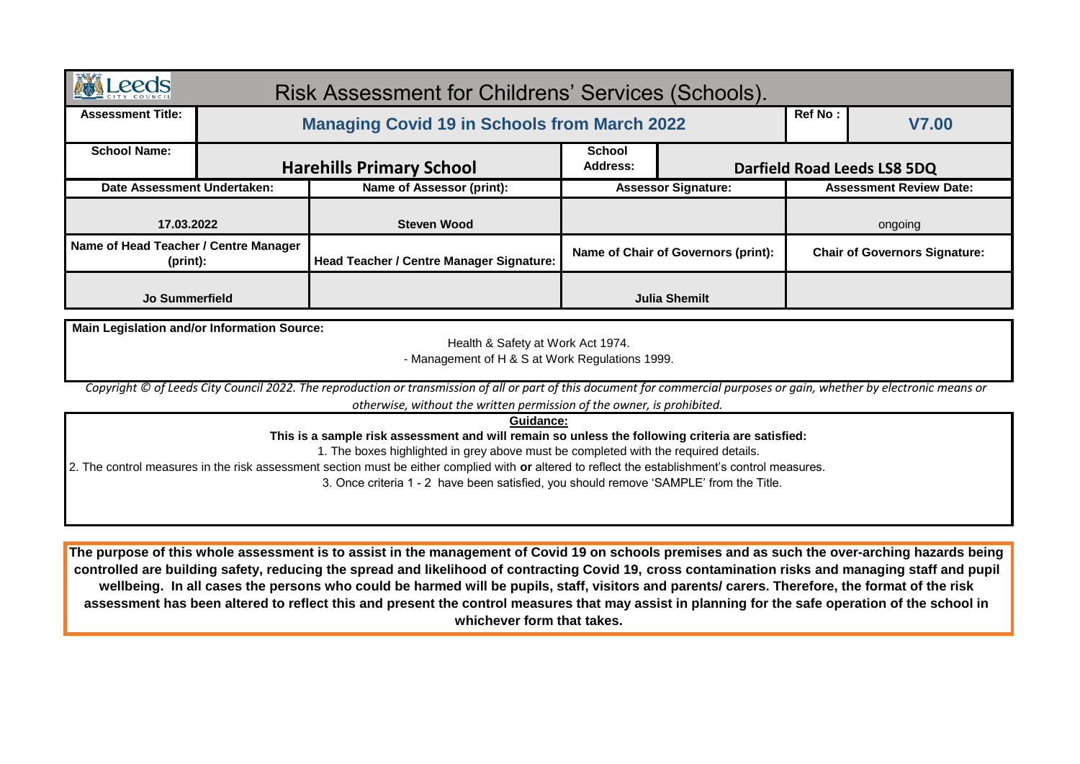| <b>Leeds</b>                                       | Risk Assessment for Childrens' Services (Schools).                                                                                                                                                                                        |                                     |                            |                                      |                                |
|----------------------------------------------------|-------------------------------------------------------------------------------------------------------------------------------------------------------------------------------------------------------------------------------------------|-------------------------------------|----------------------------|--------------------------------------|--------------------------------|
| <b>Assessment Title:</b>                           | <b>Managing Covid 19 in Schools from March 2022</b>                                                                                                                                                                                       |                                     |                            | Ref No:                              | <b>V7.00</b>                   |
| <b>School Name:</b>                                | <b>Harehills Primary School</b>                                                                                                                                                                                                           | <b>School</b><br><b>Address:</b>    |                            |                                      | Darfield Road Leeds LS8 5DQ    |
| Date Assessment Undertaken:                        | Name of Assessor (print):                                                                                                                                                                                                                 |                                     | <b>Assessor Signature:</b> |                                      | <b>Assessment Review Date:</b> |
| 17.03.2022                                         | <b>Steven Wood</b>                                                                                                                                                                                                                        |                                     |                            | ongoing                              |                                |
| Name of Head Teacher / Centre Manager<br>(print):  | Head Teacher / Centre Manager Signature:                                                                                                                                                                                                  | Name of Chair of Governors (print): |                            | <b>Chair of Governors Signature:</b> |                                |
| <b>Jo Summerfield</b>                              |                                                                                                                                                                                                                                           | <b>Julia Shemilt</b>                |                            |                                      |                                |
| <b>Main Legislation and/or Information Source:</b> |                                                                                                                                                                                                                                           |                                     |                            |                                      |                                |
|                                                    | Health & Safety at Work Act 1974.                                                                                                                                                                                                         |                                     |                            |                                      |                                |
|                                                    | - Management of H & S at Work Regulations 1999.                                                                                                                                                                                           |                                     |                            |                                      |                                |
|                                                    | Copyright © of Leeds City Council 2022. The reproduction or transmission of all or part of this document for commercial purposes or gain, whether by electronic means or                                                                  |                                     |                            |                                      |                                |
|                                                    | otherwise, without the written permission of the owner, is prohibited.                                                                                                                                                                    |                                     |                            |                                      |                                |
|                                                    | Guidance:<br>This is a sample risk assessment and will remain so unless the following criteria are satisfied:                                                                                                                             |                                     |                            |                                      |                                |
|                                                    | 1. The boxes highlighted in grey above must be completed with the required details.                                                                                                                                                       |                                     |                            |                                      |                                |
|                                                    | 2. The control measures in the risk assessment section must be either complied with or altered to reflect the establishment's control measures.<br>3. Once criteria 1 - 2 have been satisfied, you should remove 'SAMPLE' from the Title. |                                     |                            |                                      |                                |
|                                                    |                                                                                                                                                                                                                                           |                                     |                            |                                      |                                |
|                                                    |                                                                                                                                                                                                                                           |                                     |                            |                                      |                                |
|                                                    |                                                                                                                                                                                                                                           |                                     |                            |                                      |                                |

**The purpose of this whole assessment is to assist in the management of Covid 19 on schools premises and as such the over-arching hazards being controlled are building safety, reducing the spread and likelihood of contracting Covid 19, cross contamination risks and managing staff and pupil wellbeing. In all cases the persons who could be harmed will be pupils, staff, visitors and parents/ carers. Therefore, the format of the risk assessment has been altered to reflect this and present the control measures that may assist in planning for the safe operation of the school in whichever form that takes.**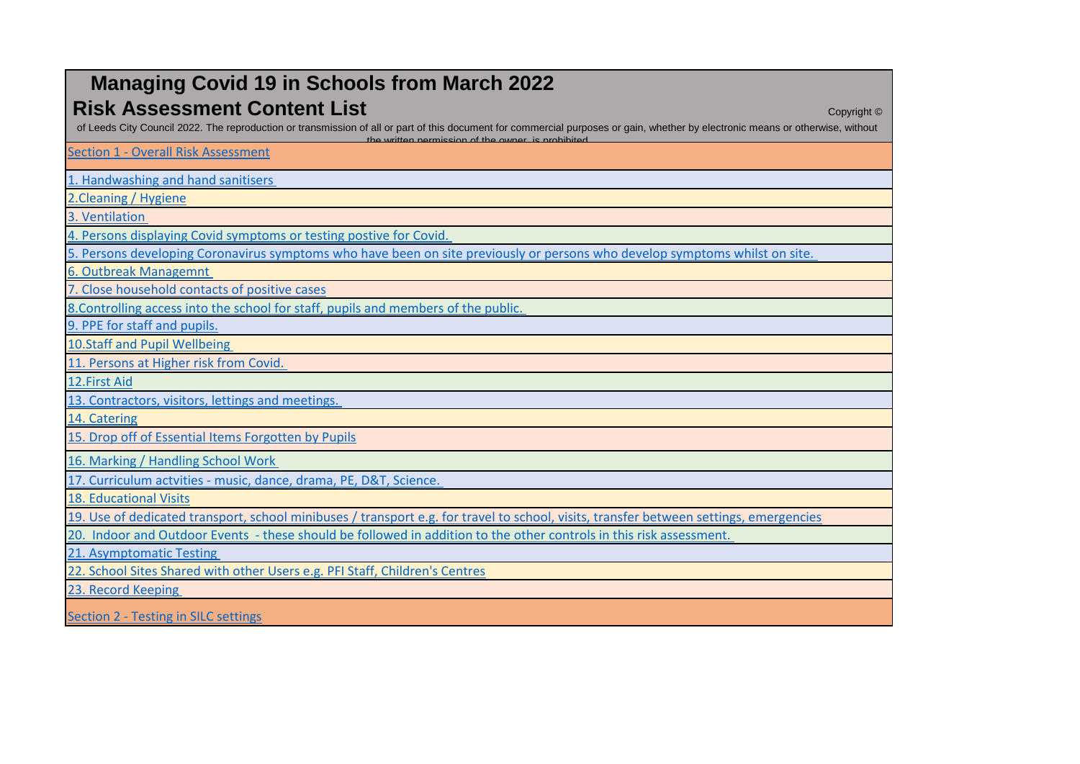| <b>Managing Covid 19 in Schools from March 2022</b>                                                                                                                                                                                                                                          |
|----------------------------------------------------------------------------------------------------------------------------------------------------------------------------------------------------------------------------------------------------------------------------------------------|
| <b>Risk Assessment Content List</b><br>Copyright $©$<br>of Leeds City Council 2022. The reproduction or transmission of all or part of this document for commercial purposes or gain, whether by electronic means or otherwise, without<br>the written nermission of the owner is probibited |
| <b>Section 1 - Overall Risk Assessment</b>                                                                                                                                                                                                                                                   |
| 1. Handwashing and hand sanitisers                                                                                                                                                                                                                                                           |
| 2. Cleaning / Hygiene                                                                                                                                                                                                                                                                        |
| 3. Ventilation                                                                                                                                                                                                                                                                               |
| 4. Persons displaying Covid symptoms or testing postive for Covid.                                                                                                                                                                                                                           |
| 5. Persons developing Coronavirus symptoms who have been on site previously or persons who develop symptoms whilst on site.                                                                                                                                                                  |
| 6. Outbreak Managemnt                                                                                                                                                                                                                                                                        |
| 7. Close household contacts of positive cases                                                                                                                                                                                                                                                |
| 8. Controlling access into the school for staff, pupils and members of the public.                                                                                                                                                                                                           |
| 9. PPE for staff and pupils.                                                                                                                                                                                                                                                                 |
| 10.Staff and Pupil Wellbeing                                                                                                                                                                                                                                                                 |
| 11. Persons at Higher risk from Covid.                                                                                                                                                                                                                                                       |
| 12. First Aid                                                                                                                                                                                                                                                                                |
| 13. Contractors, visitors, lettings and meetings.                                                                                                                                                                                                                                            |
| 14. Catering                                                                                                                                                                                                                                                                                 |
| 15. Drop off of Essential Items Forgotten by Pupils                                                                                                                                                                                                                                          |
| 16. Marking / Handling School Work                                                                                                                                                                                                                                                           |
| 17. Curriculum actvities - music, dance, drama, PE, D&T, Science.                                                                                                                                                                                                                            |
| <b>18. Educational Visits</b>                                                                                                                                                                                                                                                                |
| 19. Use of dedicated transport, school minibuses / transport e.g. for travel to school, visits, transfer between settings, emergencies                                                                                                                                                       |
| 20. Indoor and Outdoor Events - these should be followed in addition to the other controls in this risk assessment.                                                                                                                                                                          |
| 21. Asymptomatic Testing                                                                                                                                                                                                                                                                     |
| 22. School Sites Shared with other Users e.g. PFI Staff, Children's Centres                                                                                                                                                                                                                  |
| 23. Record Keeping                                                                                                                                                                                                                                                                           |
| <b>Section 2 - Testing in SILC settings</b>                                                                                                                                                                                                                                                  |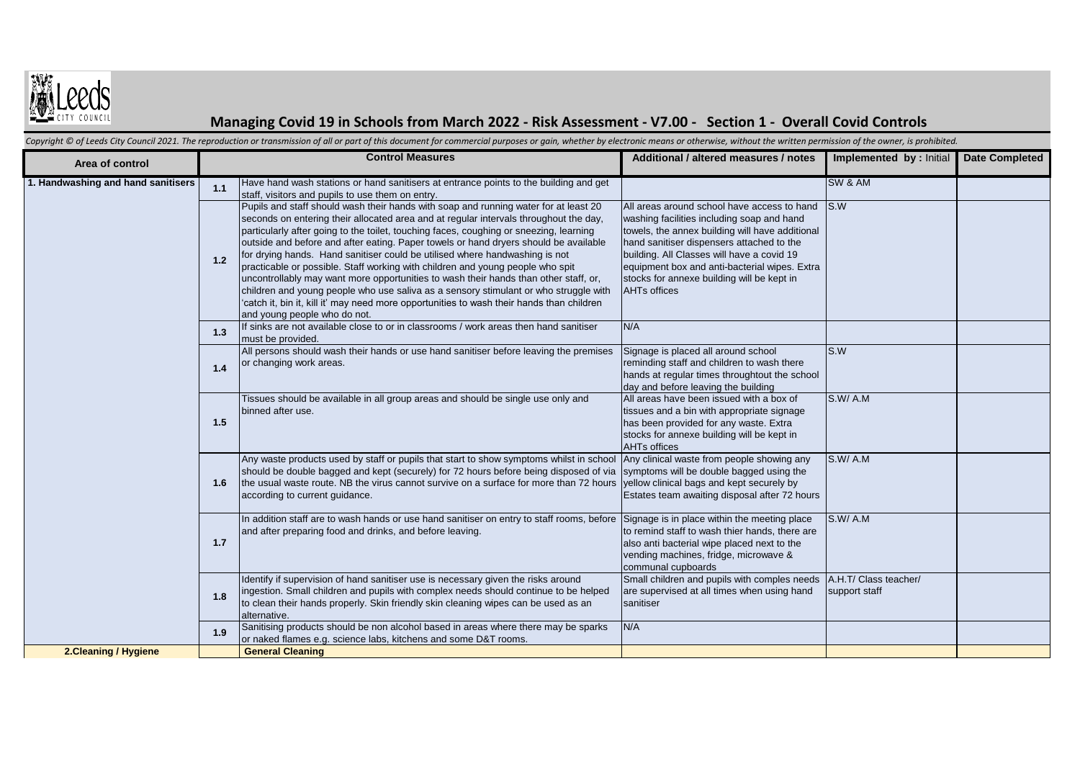

## **Managing Covid 19 in Schools from March 2022 - Risk Assessment - V7.00 - Section 1 - Overall Covid Controls**

Copyright © of Leeds City Council 2021. The reproduction or transmission of all or part of this document for commercial purposes or gain, whether by electronic means or otherwise, without the written permission of the owne

| Area of control                    |     | <b>Control Measures</b>                                                                                                                                                                                                                                                                                                                                                                                                                                                                                                                                                                                                                                                                                                                                                                                                                       | Additional / altered measures / notes                                                                                                                                                                                                                                                                                                                         | Implemented by : Initial               | <b>Date Completed</b> |
|------------------------------------|-----|-----------------------------------------------------------------------------------------------------------------------------------------------------------------------------------------------------------------------------------------------------------------------------------------------------------------------------------------------------------------------------------------------------------------------------------------------------------------------------------------------------------------------------------------------------------------------------------------------------------------------------------------------------------------------------------------------------------------------------------------------------------------------------------------------------------------------------------------------|---------------------------------------------------------------------------------------------------------------------------------------------------------------------------------------------------------------------------------------------------------------------------------------------------------------------------------------------------------------|----------------------------------------|-----------------------|
| 1. Handwashing and hand sanitisers | 1.1 | Have hand wash stations or hand sanitisers at entrance points to the building and get<br>staff, visitors and pupils to use them on entry.                                                                                                                                                                                                                                                                                                                                                                                                                                                                                                                                                                                                                                                                                                     |                                                                                                                                                                                                                                                                                                                                                               | SW & AM                                |                       |
|                                    | 1.2 | Pupils and staff should wash their hands with soap and running water for at least 20<br>seconds on entering their allocated area and at regular intervals throughout the day,<br>particularly after going to the toilet, touching faces, coughing or sneezing, learning<br>outside and before and after eating. Paper towels or hand dryers should be available<br>for drying hands. Hand sanitiser could be utilised where handwashing is not<br>practicable or possible. Staff working with children and young people who spit<br>uncontrollably may want more opportunities to wash their hands than other staff, or,<br>children and young people who use saliva as a sensory stimulant or who struggle with<br>'catch it, bin it, kill it' may need more opportunities to wash their hands than children<br>and young people who do not. | All areas around school have access to hand<br>washing facilities including soap and hand<br>towels, the annex building will have additional<br>hand sanitiser dispensers attached to the<br>building. All Classes will have a covid 19<br>equipment box and anti-bacterial wipes. Extra<br>stocks for annexe building will be kept in<br><b>AHTs offices</b> | IS.W                                   |                       |
|                                    | 1.3 | If sinks are not available close to or in classrooms / work areas then hand sanitiser<br>must be provided.                                                                                                                                                                                                                                                                                                                                                                                                                                                                                                                                                                                                                                                                                                                                    | N/A                                                                                                                                                                                                                                                                                                                                                           |                                        |                       |
|                                    | 1.4 | All persons should wash their hands or use hand sanitiser before leaving the premises<br>or changing work areas.                                                                                                                                                                                                                                                                                                                                                                                                                                                                                                                                                                                                                                                                                                                              | Signage is placed all around school<br>reminding staff and children to wash there<br>hands at regular times throughtout the school<br>day and before leaving the building                                                                                                                                                                                     | S.W                                    |                       |
|                                    | 1.5 | Tissues should be available in all group areas and should be single use only and<br>binned after use.                                                                                                                                                                                                                                                                                                                                                                                                                                                                                                                                                                                                                                                                                                                                         | All areas have been issued with a box of<br>tissues and a bin with appropriate signage<br>has been provided for any waste. Extra<br>stocks for annexe building will be kept in<br><b>AHTs offices</b>                                                                                                                                                         | S.W/A.M                                |                       |
|                                    | 1.6 | Any waste products used by staff or pupils that start to show symptoms whilst in school<br>should be double bagged and kept (securely) for 72 hours before being disposed of via<br>the usual waste route. NB the virus cannot survive on a surface for more than 72 hours<br>according to current guidance.                                                                                                                                                                                                                                                                                                                                                                                                                                                                                                                                  | Any clinical waste from people showing any<br>symptoms will be double bagged using the<br>yellow clinical bags and kept securely by<br>Estates team awaiting disposal after 72 hours                                                                                                                                                                          | S.W/A.M                                |                       |
|                                    | 1.7 | In addition staff are to wash hands or use hand sanitiser on entry to staff rooms, before<br>and after preparing food and drinks, and before leaving.                                                                                                                                                                                                                                                                                                                                                                                                                                                                                                                                                                                                                                                                                         | Signage is in place within the meeting place<br>to remind staff to wash thier hands, there are<br>also anti bacterial wipe placed next to the<br>vending machines, fridge, microwave &<br>communal cupboards                                                                                                                                                  | S.W/A.M                                |                       |
|                                    | 1.8 | Identify if supervision of hand sanitiser use is necessary given the risks around<br>ingestion. Small children and pupils with complex needs should continue to be helped<br>to clean their hands properly. Skin friendly skin cleaning wipes can be used as an<br>alternative.                                                                                                                                                                                                                                                                                                                                                                                                                                                                                                                                                               | Small children and pupils with comples needs<br>are supervised at all times when using hand<br>sanitiser                                                                                                                                                                                                                                                      | A.H.T/ Class teacher/<br>support staff |                       |
|                                    | 1.9 | Sanitising products should be non alcohol based in areas where there may be sparks<br>or naked flames e.g. science labs, kitchens and some D&T rooms.                                                                                                                                                                                                                                                                                                                                                                                                                                                                                                                                                                                                                                                                                         | N/A                                                                                                                                                                                                                                                                                                                                                           |                                        |                       |
| 2. Cleaning / Hygiene              |     | <b>General Cleaning</b>                                                                                                                                                                                                                                                                                                                                                                                                                                                                                                                                                                                                                                                                                                                                                                                                                       |                                                                                                                                                                                                                                                                                                                                                               |                                        |                       |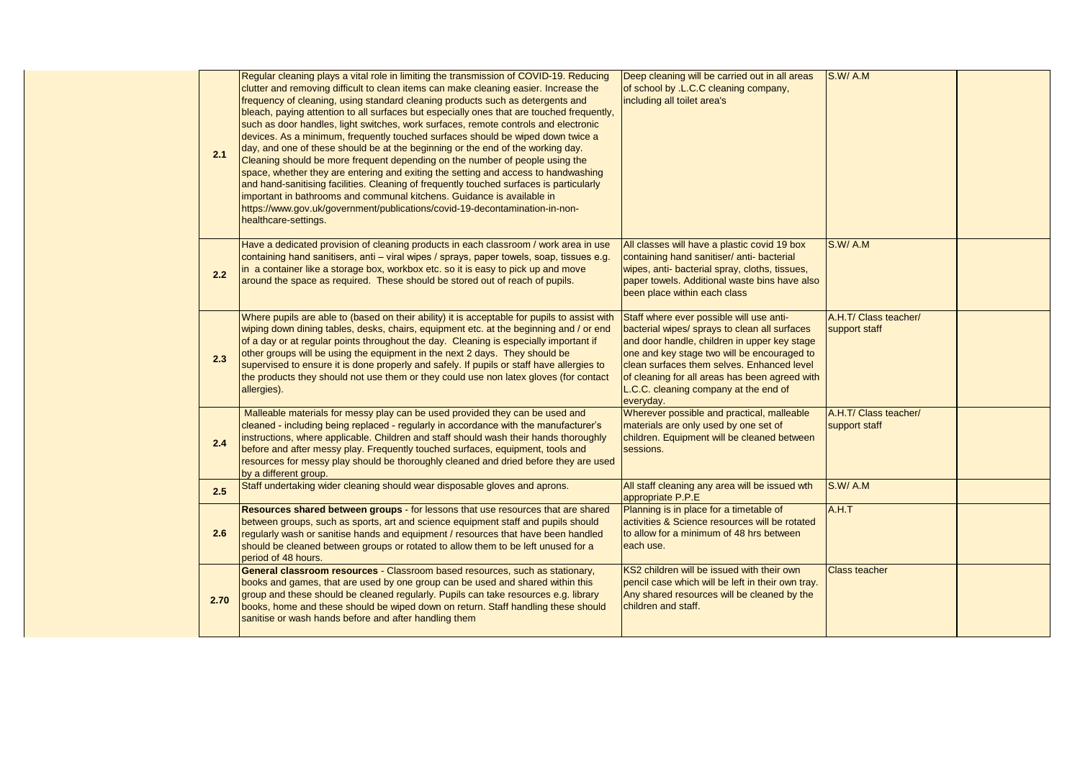| 2.1  | Regular cleaning plays a vital role in limiting the transmission of COVID-19. Reducing<br>clutter and removing difficult to clean items can make cleaning easier. Increase the<br>frequency of cleaning, using standard cleaning products such as detergents and<br>bleach, paying attention to all surfaces but especially ones that are touched frequently,<br>such as door handles, light switches, work surfaces, remote controls and electronic<br>devices. As a minimum, frequently touched surfaces should be wiped down twice a<br>day, and one of these should be at the beginning or the end of the working day.<br>Cleaning should be more frequent depending on the number of people using the<br>space, whether they are entering and exiting the setting and access to handwashing<br>and hand-sanitising facilities. Cleaning of frequently touched surfaces is particularly<br>important in bathrooms and communal kitchens. Guidance is available in<br>https://www.gov.uk/government/publications/covid-19-decontamination-in-non-<br>healthcare-settings. | Deep cleaning will be carried out in all areas<br>of school by .L.C.C cleaning company,<br>including all toilet area's                                                                                                                                                                                                                         | S.W/A.M                                |  |
|------|------------------------------------------------------------------------------------------------------------------------------------------------------------------------------------------------------------------------------------------------------------------------------------------------------------------------------------------------------------------------------------------------------------------------------------------------------------------------------------------------------------------------------------------------------------------------------------------------------------------------------------------------------------------------------------------------------------------------------------------------------------------------------------------------------------------------------------------------------------------------------------------------------------------------------------------------------------------------------------------------------------------------------------------------------------------------------|------------------------------------------------------------------------------------------------------------------------------------------------------------------------------------------------------------------------------------------------------------------------------------------------------------------------------------------------|----------------------------------------|--|
| 2.2  | Have a dedicated provision of cleaning products in each classroom / work area in use<br>containing hand sanitisers, anti – viral wipes / sprays, paper towels, soap, tissues e.g.<br>in a container like a storage box, workbox etc. so it is easy to pick up and move<br>around the space as required. These should be stored out of reach of pupils.                                                                                                                                                                                                                                                                                                                                                                                                                                                                                                                                                                                                                                                                                                                       | All classes will have a plastic covid 19 box<br>containing hand sanitiser/ anti- bacterial<br>wipes, anti- bacterial spray, cloths, tissues,<br>paper towels. Additional waste bins have also<br>been place within each class                                                                                                                  | S.W/A.M                                |  |
| 2.3  | Where pupils are able to (based on their ability) it is acceptable for pupils to assist with<br>wiping down dining tables, desks, chairs, equipment etc. at the beginning and / or end<br>of a day or at regular points throughout the day. Cleaning is especially important if<br>other groups will be using the equipment in the next 2 days. They should be<br>supervised to ensure it is done properly and safely. If pupils or staff have allergies to<br>the products they should not use them or they could use non latex gloves (for contact<br>allergies).                                                                                                                                                                                                                                                                                                                                                                                                                                                                                                          | Staff where ever possible will use anti-<br>bacterial wipes/ sprays to clean all surfaces<br>and door handle, children in upper key stage<br>one and key stage two will be encouraged to<br>clean surfaces them selves. Enhanced level<br>of cleaning for all areas has been agreed with<br>L.C.C. cleaning company at the end of<br>everyday. | A.H.T/ Class teacher/<br>support staff |  |
| 2.4  | Malleable materials for messy play can be used provided they can be used and<br>cleaned - including being replaced - regularly in accordance with the manufacturer's<br>instructions, where applicable. Children and staff should wash their hands thoroughly<br>before and after messy play. Frequently touched surfaces, equipment, tools and<br>resources for messy play should be thoroughly cleaned and dried before they are used<br>by a different group.                                                                                                                                                                                                                                                                                                                                                                                                                                                                                                                                                                                                             | Wherever possible and practical, malleable<br>materials are only used by one set of<br>children. Equipment will be cleaned between<br>sessions.                                                                                                                                                                                                | A.H.T/ Class teacher/<br>support staff |  |
| 2.5  | Staff undertaking wider cleaning should wear disposable gloves and aprons.                                                                                                                                                                                                                                                                                                                                                                                                                                                                                                                                                                                                                                                                                                                                                                                                                                                                                                                                                                                                   | All staff cleaning any area will be issued wth<br>appropriate P.P.E                                                                                                                                                                                                                                                                            | S.W/A.M                                |  |
| 2.6  | Resources shared between groups - for lessons that use resources that are shared<br>between groups, such as sports, art and science equipment staff and pupils should<br>regularly wash or sanitise hands and equipment / resources that have been handled<br>should be cleaned between groups or rotated to allow them to be left unused for a<br>period of 48 hours.                                                                                                                                                                                                                                                                                                                                                                                                                                                                                                                                                                                                                                                                                                       | Planning is in place for a timetable of<br>activities & Science resources will be rotated<br>to allow for a minimum of 48 hrs between<br>each use.                                                                                                                                                                                             | A.H.T                                  |  |
| 2.70 | General classroom resources - Classroom based resources, such as stationary,<br>books and games, that are used by one group can be used and shared within this<br>group and these should be cleaned regularly. Pupils can take resources e.g. library<br>books, home and these should be wiped down on return. Staff handling these should<br>sanitise or wash hands before and after handling them                                                                                                                                                                                                                                                                                                                                                                                                                                                                                                                                                                                                                                                                          | KS2 children will be issued with their own<br>pencil case which will be left in their own tray.<br>Any shared resources will be cleaned by the<br>children and staff.                                                                                                                                                                          | <b>Class teacher</b>                   |  |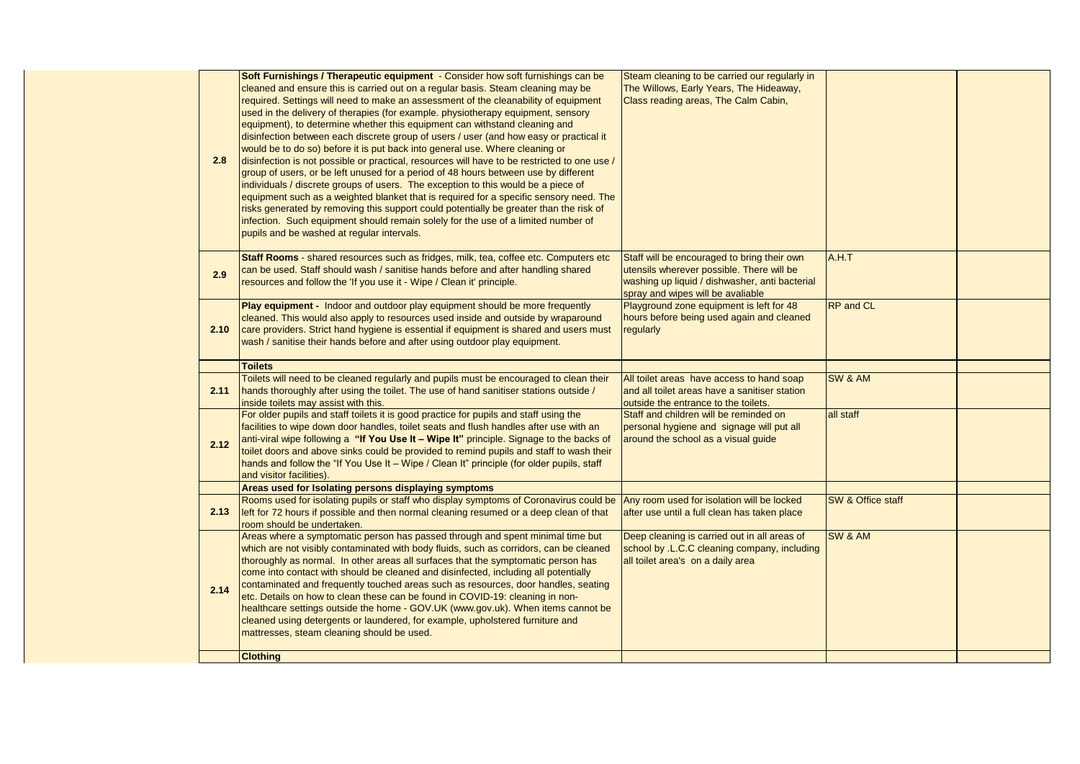| 2.8  | Soft Furnishings / Therapeutic equipment - Consider how soft furnishings can be<br>cleaned and ensure this is carried out on a regular basis. Steam cleaning may be<br>required. Settings will need to make an assessment of the cleanability of equipment<br>used in the delivery of therapies (for example. physiotherapy equipment, sensory<br>equipment), to determine whether this equipment can withstand cleaning and<br>disinfection between each discrete group of users / user (and how easy or practical it<br>would be to do so) before it is put back into general use. Where cleaning or<br>disinfection is not possible or practical, resources will have to be restricted to one use /<br>group of users, or be left unused for a period of 48 hours between use by different<br>individuals / discrete groups of users. The exception to this would be a piece of<br>equipment such as a weighted blanket that is required for a specific sensory need. The<br>risks generated by removing this support could potentially be greater than the risk of<br>infection. Such equipment should remain solely for the use of a limited number of<br>pupils and be washed at regular intervals. | Steam cleaning to be carried our regularly in<br>The Willows, Early Years, The Hideaway,<br>Class reading areas, The Calm Cabin,                                                |                   |  |
|------|-----------------------------------------------------------------------------------------------------------------------------------------------------------------------------------------------------------------------------------------------------------------------------------------------------------------------------------------------------------------------------------------------------------------------------------------------------------------------------------------------------------------------------------------------------------------------------------------------------------------------------------------------------------------------------------------------------------------------------------------------------------------------------------------------------------------------------------------------------------------------------------------------------------------------------------------------------------------------------------------------------------------------------------------------------------------------------------------------------------------------------------------------------------------------------------------------------------|---------------------------------------------------------------------------------------------------------------------------------------------------------------------------------|-------------------|--|
| 29   | Staff Rooms - shared resources such as fridges, milk, tea, coffee etc. Computers etc<br>can be used. Staff should wash / sanitise hands before and after handling shared<br>resources and follow the 'If you use it - Wipe / Clean it' principle.                                                                                                                                                                                                                                                                                                                                                                                                                                                                                                                                                                                                                                                                                                                                                                                                                                                                                                                                                         | Staff will be encouraged to bring their own<br>utensils wherever possible. There will be<br>washing up liquid / dishwasher, anti bacterial<br>spray and wipes will be avaliable | A.H.T             |  |
| 2.10 | Play equipment - Indoor and outdoor play equipment should be more frequently<br>cleaned. This would also apply to resources used inside and outside by wraparound<br>care providers. Strict hand hygiene is essential if equipment is shared and users must<br>wash / sanitise their hands before and after using outdoor play equipment.                                                                                                                                                                                                                                                                                                                                                                                                                                                                                                                                                                                                                                                                                                                                                                                                                                                                 | Playground zone equipment is left for 48<br>hours before being used again and cleaned<br>regularly                                                                              | <b>RP</b> and CL  |  |
|      | <b>Toilets</b>                                                                                                                                                                                                                                                                                                                                                                                                                                                                                                                                                                                                                                                                                                                                                                                                                                                                                                                                                                                                                                                                                                                                                                                            |                                                                                                                                                                                 |                   |  |
| 2.11 | Toilets will need to be cleaned regularly and pupils must be encouraged to clean their<br>hands thoroughly after using the toilet. The use of hand sanitiser stations outside /<br>inside toilets may assist with this.                                                                                                                                                                                                                                                                                                                                                                                                                                                                                                                                                                                                                                                                                                                                                                                                                                                                                                                                                                                   | All toilet areas have access to hand soap<br>and all toilet areas have a sanitiser station<br>outside the entrance to the toilets.                                              | SW & AM           |  |
| 2.12 | For older pupils and staff toilets it is good practice for pupils and staff using the<br>facilities to wipe down door handles, toilet seats and flush handles after use with an<br>anti-viral wipe following a "If You Use It - Wipe It" principle. Signage to the backs of<br>toilet doors and above sinks could be provided to remind pupils and staff to wash their<br>hands and follow the "If You Use It - Wipe / Clean It" principle (for older pupils, staff<br>and visitor facilities).                                                                                                                                                                                                                                                                                                                                                                                                                                                                                                                                                                                                                                                                                                           | Staff and children will be reminded on<br>personal hygiene and signage will put all<br>around the school as a visual guide                                                      | all staff         |  |
|      | Areas used for Isolating persons displaying symptoms                                                                                                                                                                                                                                                                                                                                                                                                                                                                                                                                                                                                                                                                                                                                                                                                                                                                                                                                                                                                                                                                                                                                                      |                                                                                                                                                                                 |                   |  |
| 2.13 | Rooms used for isolating pupils or staff who display symptoms of Coronavirus could be<br>left for 72 hours if possible and then normal cleaning resumed or a deep clean of that<br>room should be undertaken.                                                                                                                                                                                                                                                                                                                                                                                                                                                                                                                                                                                                                                                                                                                                                                                                                                                                                                                                                                                             | Any room used for isolation will be locked<br>after use until a full clean has taken place                                                                                      | SW & Office staff |  |
| 2.14 | Areas where a symptomatic person has passed through and spent minimal time but<br>which are not visibly contaminated with body fluids, such as corridors, can be cleaned<br>thoroughly as normal. In other areas all surfaces that the symptomatic person has<br>come into contact with should be cleaned and disinfected, including all potentially<br>contaminated and frequently touched areas such as resources, door handles, seating<br>etc. Details on how to clean these can be found in COVID-19: cleaning in non-<br>healthcare settings outside the home - GOV.UK (www.gov.uk). When items cannot be<br>cleaned using detergents or laundered, for example, upholstered furniture and<br>mattresses, steam cleaning should be used.                                                                                                                                                                                                                                                                                                                                                                                                                                                            | Deep cleaning is carried out in all areas of<br>school by .L.C.C cleaning company, including<br>all toilet area's on a daily area                                               | SW & AM           |  |
|      | <b>Clothing</b>                                                                                                                                                                                                                                                                                                                                                                                                                                                                                                                                                                                                                                                                                                                                                                                                                                                                                                                                                                                                                                                                                                                                                                                           |                                                                                                                                                                                 |                   |  |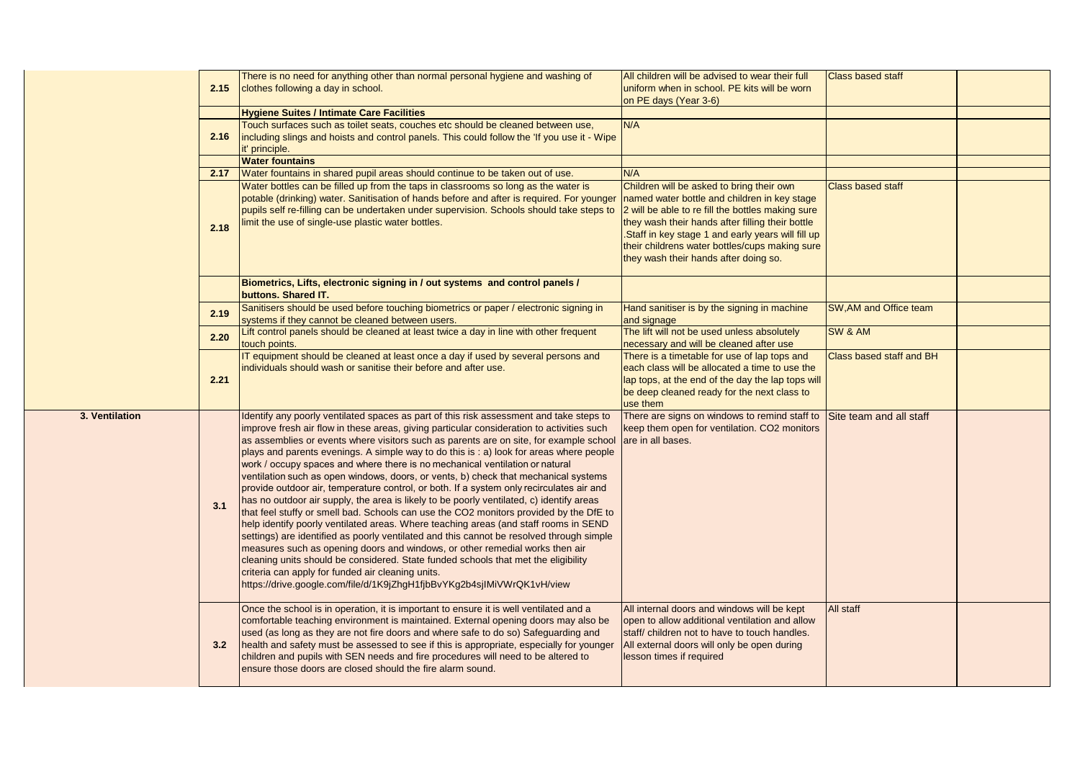|                | 2.15 | There is no need for anything other than normal personal hygiene and washing of<br>clothes following a day in school.                                                                                                                                                                                                                                                                                                                                                                                                                                                                                                                                                                                                                                                                                                                                                                                                                                                                                                                                                                                                                                                                                                                                                                                                      | All children will be advised to wear their full<br>uniform when in school. PE kits will be worn                                                                                                                                                                                                                                                    | <b>Class based staff</b> |  |
|----------------|------|----------------------------------------------------------------------------------------------------------------------------------------------------------------------------------------------------------------------------------------------------------------------------------------------------------------------------------------------------------------------------------------------------------------------------------------------------------------------------------------------------------------------------------------------------------------------------------------------------------------------------------------------------------------------------------------------------------------------------------------------------------------------------------------------------------------------------------------------------------------------------------------------------------------------------------------------------------------------------------------------------------------------------------------------------------------------------------------------------------------------------------------------------------------------------------------------------------------------------------------------------------------------------------------------------------------------------|----------------------------------------------------------------------------------------------------------------------------------------------------------------------------------------------------------------------------------------------------------------------------------------------------------------------------------------------------|--------------------------|--|
|                |      | <b>Hygiene Suites / Intimate Care Facilities</b>                                                                                                                                                                                                                                                                                                                                                                                                                                                                                                                                                                                                                                                                                                                                                                                                                                                                                                                                                                                                                                                                                                                                                                                                                                                                           | on PE days (Year 3-6)                                                                                                                                                                                                                                                                                                                              |                          |  |
|                | 2.16 | Touch surfaces such as toilet seats, couches etc should be cleaned between use,<br>including slings and hoists and control panels. This could follow the 'If you use it - Wipe<br>it' principle.                                                                                                                                                                                                                                                                                                                                                                                                                                                                                                                                                                                                                                                                                                                                                                                                                                                                                                                                                                                                                                                                                                                           | N/A                                                                                                                                                                                                                                                                                                                                                |                          |  |
|                |      | <b>Water fountains</b>                                                                                                                                                                                                                                                                                                                                                                                                                                                                                                                                                                                                                                                                                                                                                                                                                                                                                                                                                                                                                                                                                                                                                                                                                                                                                                     |                                                                                                                                                                                                                                                                                                                                                    |                          |  |
|                | 2.17 | Water fountains in shared pupil areas should continue to be taken out of use.                                                                                                                                                                                                                                                                                                                                                                                                                                                                                                                                                                                                                                                                                                                                                                                                                                                                                                                                                                                                                                                                                                                                                                                                                                              | N/A                                                                                                                                                                                                                                                                                                                                                |                          |  |
|                | 2.18 | Water bottles can be filled up from the taps in classrooms so long as the water is<br>potable (drinking) water. Sanitisation of hands before and after is required. For younger<br>pupils self re-filling can be undertaken under supervision. Schools should take steps to<br>imit the use of single-use plastic water bottles.                                                                                                                                                                                                                                                                                                                                                                                                                                                                                                                                                                                                                                                                                                                                                                                                                                                                                                                                                                                           | Children will be asked to bring their own<br>named water bottle and children in key stage<br>2 will be able to re fill the bottles making sure<br>they wash their hands after filling their bottle<br>Staff in key stage 1 and early years will fill up<br>their childrens water bottles/cups making sure<br>they wash their hands after doing so. | <b>Class based staff</b> |  |
|                |      | Biometrics, Lifts, electronic signing in / out systems and control panels /<br>buttons. Shared IT.                                                                                                                                                                                                                                                                                                                                                                                                                                                                                                                                                                                                                                                                                                                                                                                                                                                                                                                                                                                                                                                                                                                                                                                                                         |                                                                                                                                                                                                                                                                                                                                                    |                          |  |
|                | 2.19 | Sanitisers should be used before touching biometrics or paper / electronic signing in<br>systems if they cannot be cleaned between users.                                                                                                                                                                                                                                                                                                                                                                                                                                                                                                                                                                                                                                                                                                                                                                                                                                                                                                                                                                                                                                                                                                                                                                                  | Hand sanitiser is by the signing in machine<br>and signage                                                                                                                                                                                                                                                                                         | SW, AM and Office team   |  |
|                | 2.20 | Lift control panels should be cleaned at least twice a day in line with other frequent<br>touch points.                                                                                                                                                                                                                                                                                                                                                                                                                                                                                                                                                                                                                                                                                                                                                                                                                                                                                                                                                                                                                                                                                                                                                                                                                    | The lift will not be used unless absolutely<br>necessary and will be cleaned after use                                                                                                                                                                                                                                                             | SW & AM                  |  |
|                | 2.21 | IT equipment should be cleaned at least once a day if used by several persons and<br>individuals should wash or sanitise their before and after use.                                                                                                                                                                                                                                                                                                                                                                                                                                                                                                                                                                                                                                                                                                                                                                                                                                                                                                                                                                                                                                                                                                                                                                       | There is a timetable for use of lap tops and<br>each class will be allocated a time to use the<br>lap tops, at the end of the day the lap tops will<br>be deep cleaned ready for the next class to<br>use them                                                                                                                                     | Class based staff and BH |  |
| 3. Ventilation | 3.1  | Identify any poorly ventilated spaces as part of this risk assessment and take steps to<br>improve fresh air flow in these areas, giving particular consideration to activities such<br>as assemblies or events where visitors such as parents are on site, for example school<br>plays and parents evenings. A simple way to do this is: a) look for areas where people<br>work / occupy spaces and where there is no mechanical ventilation or natural<br>ventilation such as open windows, doors, or vents, b) check that mechanical systems<br>provide outdoor air, temperature control, or both. If a system only recirculates air and<br>has no outdoor air supply, the area is likely to be poorly ventilated, c) identify areas<br>that feel stuffy or smell bad. Schools can use the CO2 monitors provided by the DfE to<br>help identify poorly ventilated areas. Where teaching areas (and staff rooms in SEND<br>settings) are identified as poorly ventilated and this cannot be resolved through simple<br>measures such as opening doors and windows, or other remedial works then air<br>cleaning units should be considered. State funded schools that met the eligibility<br>criteria can apply for funded air cleaning units.<br>https://drive.google.com/file/d/1K9jZhgH1fjbBvYKg2b4sjIMiVWrQK1vH/view | There are signs on windows to remind staff to Site team and all staff<br>keep them open for ventilation. CO2 monitors<br>are in all bases.                                                                                                                                                                                                         |                          |  |
|                | 32   | Once the school is in operation, it is important to ensure it is well ventilated and a<br>comfortable teaching environment is maintained. External opening doors may also be<br>used (as long as they are not fire doors and where safe to do so) Safeguarding and<br>health and safety must be assessed to see if this is appropriate, especially for younger<br>children and pupils with SEN needs and fire procedures will need to be altered to<br>ensure those doors are closed should the fire alarm sound.                                                                                                                                                                                                                                                                                                                                                                                                                                                                                                                                                                                                                                                                                                                                                                                                          | All internal doors and windows will be kept<br>open to allow additional ventilation and allow<br>staff/children not to have to touch handles.<br>All external doors will only be open during<br>lesson times if required                                                                                                                           | All staff                |  |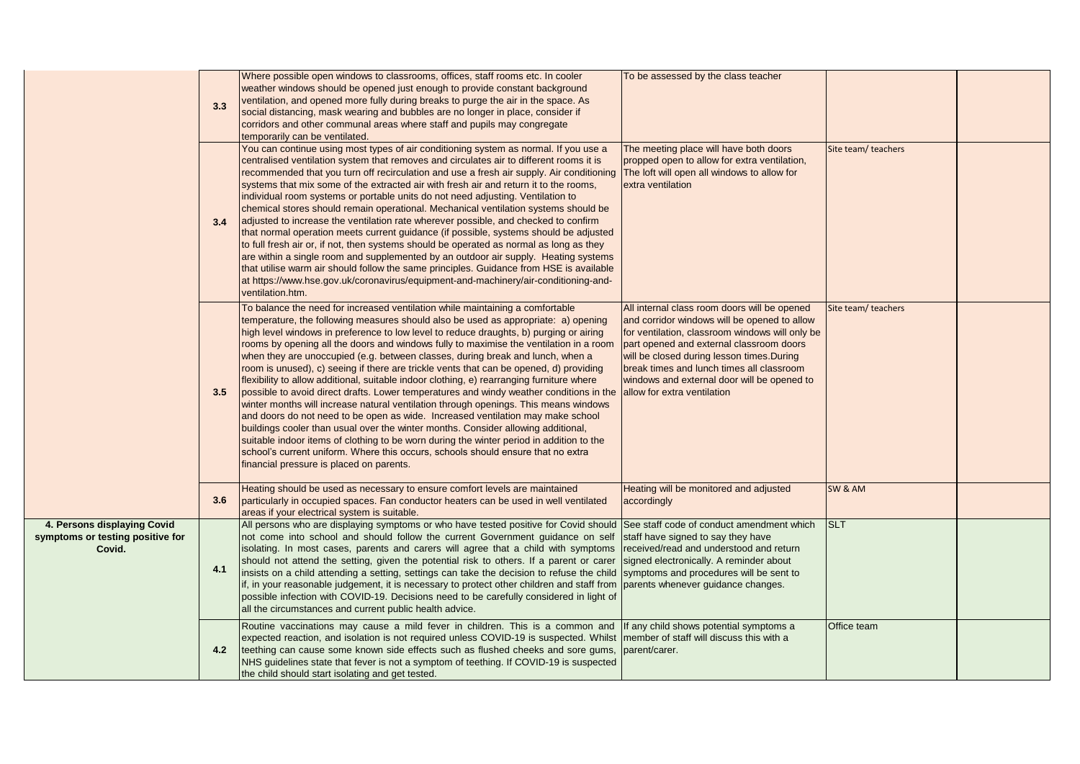|                                                                           | 3.3 | Where possible open windows to classrooms, offices, staff rooms etc. In cooler<br>weather windows should be opened just enough to provide constant background<br>ventilation, and opened more fully during breaks to purge the air in the space. As<br>social distancing, mask wearing and bubbles are no longer in place, consider if<br>corridors and other communal areas where staff and pupils may congregate<br>temporarily can be ventilated.                                                                                                                                                                                                                                                                                                                                                                                                                                                                                                                                                                                                                                                                                                                                                                    | To be assessed by the class teacher                                                                                                                                                                                                                                                                                                                                  |                     |  |
|---------------------------------------------------------------------------|-----|-------------------------------------------------------------------------------------------------------------------------------------------------------------------------------------------------------------------------------------------------------------------------------------------------------------------------------------------------------------------------------------------------------------------------------------------------------------------------------------------------------------------------------------------------------------------------------------------------------------------------------------------------------------------------------------------------------------------------------------------------------------------------------------------------------------------------------------------------------------------------------------------------------------------------------------------------------------------------------------------------------------------------------------------------------------------------------------------------------------------------------------------------------------------------------------------------------------------------|----------------------------------------------------------------------------------------------------------------------------------------------------------------------------------------------------------------------------------------------------------------------------------------------------------------------------------------------------------------------|---------------------|--|
|                                                                           | 3.4 | You can continue using most types of air conditioning system as normal. If you use a<br>centralised ventilation system that removes and circulates air to different rooms it is<br>recommended that you turn off recirculation and use a fresh air supply. Air conditioning<br>systems that mix some of the extracted air with fresh air and return it to the rooms,<br>individual room systems or portable units do not need adjusting. Ventilation to<br>chemical stores should remain operational. Mechanical ventilation systems should be<br>adjusted to increase the ventilation rate wherever possible, and checked to confirm<br>that normal operation meets current guidance (if possible, systems should be adjusted<br>to full fresh air or, if not, then systems should be operated as normal as long as they<br>are within a single room and supplemented by an outdoor air supply. Heating systems<br>that utilise warm air should follow the same principles. Guidance from HSE is available<br>at https://www.hse.gov.uk/coronavirus/equipment-and-machinery/air-conditioning-and-<br>ventilation.htm.                                                                                                  | The meeting place will have both doors<br>propped open to allow for extra ventilation,<br>The loft will open all windows to allow for<br>extra ventilation                                                                                                                                                                                                           | Site team/ teachers |  |
|                                                                           | 3.5 | To balance the need for increased ventilation while maintaining a comfortable<br>temperature, the following measures should also be used as appropriate: a) opening<br>high level windows in preference to low level to reduce draughts, b) purging or airing<br>rooms by opening all the doors and windows fully to maximise the ventilation in a room<br>when they are unoccupied (e.g. between classes, during break and lunch, when a<br>room is unused), c) seeing if there are trickle vents that can be opened, d) providing<br>flexibility to allow additional, suitable indoor clothing, e) rearranging furniture where<br>possible to avoid direct drafts. Lower temperatures and windy weather conditions in the<br>winter months will increase natural ventilation through openings. This means windows<br>and doors do not need to be open as wide. Increased ventilation may make school<br>buildings cooler than usual over the winter months. Consider allowing additional,<br>suitable indoor items of clothing to be worn during the winter period in addition to the<br>school's current uniform. Where this occurs, schools should ensure that no extra<br>financial pressure is placed on parents. | All internal class room doors will be opened<br>and corridor windows will be opened to allow<br>for ventilation, classroom windows will only be<br>part opened and external classroom doors<br>will be closed during lesson times. During<br>break times and lunch times all classroom<br>windows and external door will be opened to<br>allow for extra ventilation | Site team/ teachers |  |
|                                                                           | 3.6 | Heating should be used as necessary to ensure comfort levels are maintained<br>particularly in occupied spaces. Fan conductor heaters can be used in well ventilated<br>areas if your electrical system is suitable.                                                                                                                                                                                                                                                                                                                                                                                                                                                                                                                                                                                                                                                                                                                                                                                                                                                                                                                                                                                                    | Heating will be monitored and adjusted<br>accordingly                                                                                                                                                                                                                                                                                                                | SW & AM             |  |
| 4. Persons displaying Covid<br>symptoms or testing positive for<br>Covid. | 4.1 | All persons who are displaying symptoms or who have tested positive for Covid should<br>not come into school and should follow the current Government guidance on self<br>isolating. In most cases, parents and carers will agree that a child with symptoms<br>should not attend the setting, given the potential risk to others. If a parent or carer<br>insists on a child attending a setting, settings can take the decision to refuse the child<br>if, in your reasonable judgement, it is necessary to protect other children and staff from<br>possible infection with COVID-19. Decisions need to be carefully considered in light of<br>all the circumstances and current public health advice.                                                                                                                                                                                                                                                                                                                                                                                                                                                                                                               | See staff code of conduct amendment which<br>staff have signed to say they have<br>received/read and understood and return<br>signed electronically. A reminder about<br>symptoms and procedures will be sent to<br>parents whenever guidance changes.                                                                                                               | <b>SLT</b>          |  |
|                                                                           | 4.2 | Routine vaccinations may cause a mild fever in children. This is a common and<br>expected reaction, and isolation is not required unless COVID-19 is suspected. Whilst<br>teething can cause some known side effects such as flushed cheeks and sore gums,<br>NHS guidelines state that fever is not a symptom of teething. If COVID-19 is suspected<br>the child should start isolating and get tested.                                                                                                                                                                                                                                                                                                                                                                                                                                                                                                                                                                                                                                                                                                                                                                                                                | If any child shows potential symptoms a<br>member of staff will discuss this with a<br>parent/carer.                                                                                                                                                                                                                                                                 | Office team         |  |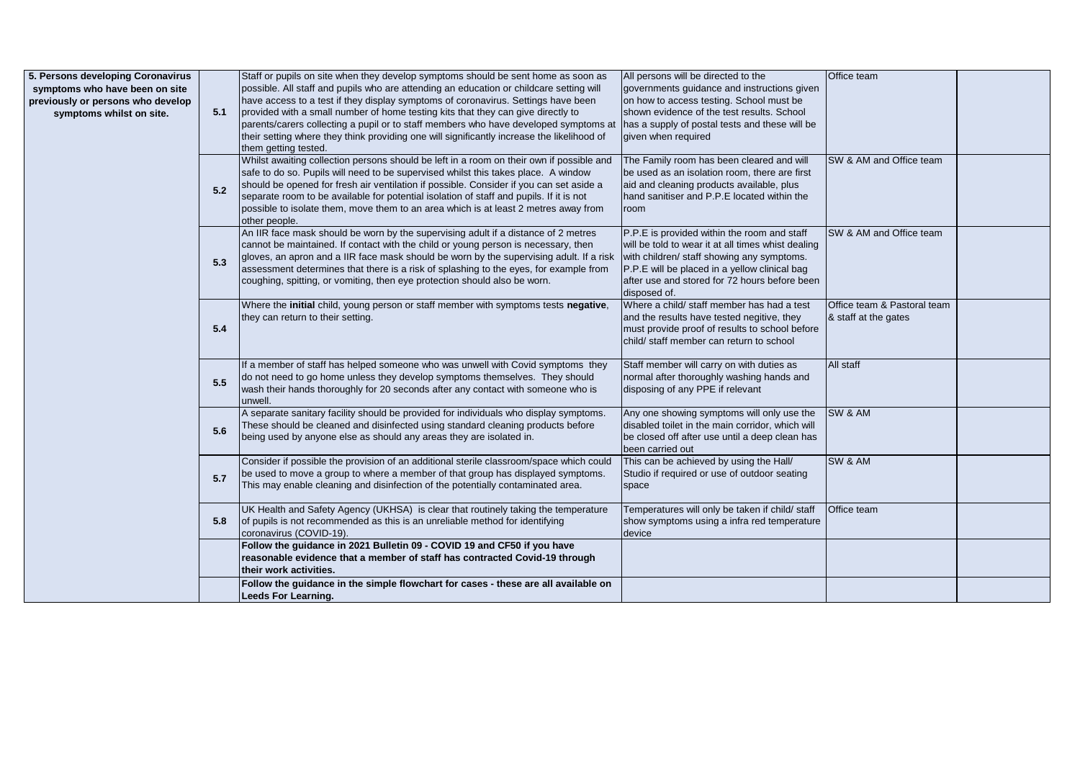| 5. Persons developing Coronavirus |     | Staff or pupils on site when they develop symptoms should be sent home as soon as          | All persons will be directed to the                | Office team                 |  |
|-----------------------------------|-----|--------------------------------------------------------------------------------------------|----------------------------------------------------|-----------------------------|--|
| symptoms who have been on site    |     | possible. All staff and pupils who are attending an education or childcare setting will    | governments guidance and instructions given        |                             |  |
| previously or persons who develop |     | have access to a test if they display symptoms of coronavirus. Settings have been          | on how to access testing. School must be           |                             |  |
| symptoms whilst on site.          | 5.1 | provided with a small number of home testing kits that they can give directly to           | shown evidence of the test results. School         |                             |  |
|                                   |     | parents/carers collecting a pupil or to staff members who have developed symptoms at       | has a supply of postal tests and these will be     |                             |  |
|                                   |     | their setting where they think providing one will significantly increase the likelihood of | given when required                                |                             |  |
|                                   |     | them getting tested.                                                                       |                                                    |                             |  |
|                                   |     | Whilst awaiting collection persons should be left in a room on their own if possible and   | The Family room has been cleared and will          | SW & AM and Office team     |  |
|                                   |     | safe to do so. Pupils will need to be supervised whilst this takes place. A window         | be used as an isolation room, there are first      |                             |  |
|                                   | 5.2 | should be opened for fresh air ventilation if possible. Consider if you can set aside a    | aid and cleaning products available, plus          |                             |  |
|                                   |     | separate room to be available for potential isolation of staff and pupils. If it is not    | hand sanitiser and P.P.E located within the        |                             |  |
|                                   |     | possible to isolate them, move them to an area which is at least 2 metres away from        | room                                               |                             |  |
|                                   |     | other people.                                                                              |                                                    |                             |  |
|                                   |     | An IIR face mask should be worn by the supervising adult if a distance of 2 metres         | P.P.E is provided within the room and staff        | SW & AM and Office team     |  |
|                                   |     | cannot be maintained. If contact with the child or young person is necessary, then         | will be told to wear it at all times whist dealing |                             |  |
|                                   | 5.3 | gloves, an apron and a IIR face mask should be worn by the supervising adult. If a risk    | with children/ staff showing any symptoms.         |                             |  |
|                                   |     | assessment determines that there is a risk of splashing to the eyes, for example from      | P.P.E will be placed in a yellow clinical bag      |                             |  |
|                                   |     | coughing, spitting, or vomiting, then eye protection should also be worn.                  | after use and stored for 72 hours before been      |                             |  |
|                                   |     |                                                                                            | disposed of.                                       |                             |  |
|                                   |     | Where the initial child, young person or staff member with symptoms tests negative,        | Where a child/ staff member has had a test         | Office team & Pastoral team |  |
|                                   |     | they can return to their setting.                                                          | and the results have tested negitive, they         | & staff at the gates        |  |
|                                   | 5.4 |                                                                                            | must provide proof of results to school before     |                             |  |
|                                   |     |                                                                                            | child/ staff member can return to school           |                             |  |
|                                   |     |                                                                                            |                                                    |                             |  |
|                                   |     | If a member of staff has helped someone who was unwell with Covid symptoms they            | Staff member will carry on with duties as          | All staff                   |  |
|                                   | 5.5 | do not need to go home unless they develop symptoms themselves. They should                | normal after thoroughly washing hands and          |                             |  |
|                                   |     | wash their hands thoroughly for 20 seconds after any contact with someone who is           | disposing of any PPE if relevant                   |                             |  |
|                                   |     | unwell                                                                                     |                                                    |                             |  |
|                                   |     | A separate sanitary facility should be provided for individuals who display symptoms.      | Any one showing symptoms will only use the         | SW & AM                     |  |
|                                   | 5.6 | These should be cleaned and disinfected using standard cleaning products before            | disabled toilet in the main corridor, which will   |                             |  |
|                                   |     | being used by anyone else as should any areas they are isolated in.                        | be closed off after use until a deep clean has     |                             |  |
|                                   |     |                                                                                            | been carried out                                   |                             |  |
|                                   |     | Consider if possible the provision of an additional sterile classroom/space which could    | This can be achieved by using the Hall/            | SW & AM                     |  |
|                                   | 5.7 | be used to move a group to where a member of that group has displayed symptoms.            | Studio if required or use of outdoor seating       |                             |  |
|                                   |     | This may enable cleaning and disinfection of the potentially contaminated area.            | space                                              |                             |  |
|                                   |     |                                                                                            |                                                    |                             |  |
|                                   |     | UK Health and Safety Agency (UKHSA) is clear that routinely taking the temperature         | Temperatures will only be taken if child/ staff    | Office team                 |  |
|                                   | 5.8 | of pupils is not recommended as this is an unreliable method for identifying               | show symptoms using a infra red temperature        |                             |  |
|                                   |     | coronavirus (COVID-19).                                                                    | device                                             |                             |  |
|                                   |     | Follow the quidance in 2021 Bulletin 09 - COVID 19 and CF50 if you have                    |                                                    |                             |  |
|                                   |     | reasonable evidence that a member of staff has contracted Covid-19 through                 |                                                    |                             |  |
|                                   |     | their work activities.                                                                     |                                                    |                             |  |
|                                   |     | Follow the guidance in the simple flowchart for cases - these are all available on         |                                                    |                             |  |
|                                   |     | <b>Leeds For Learning.</b>                                                                 |                                                    |                             |  |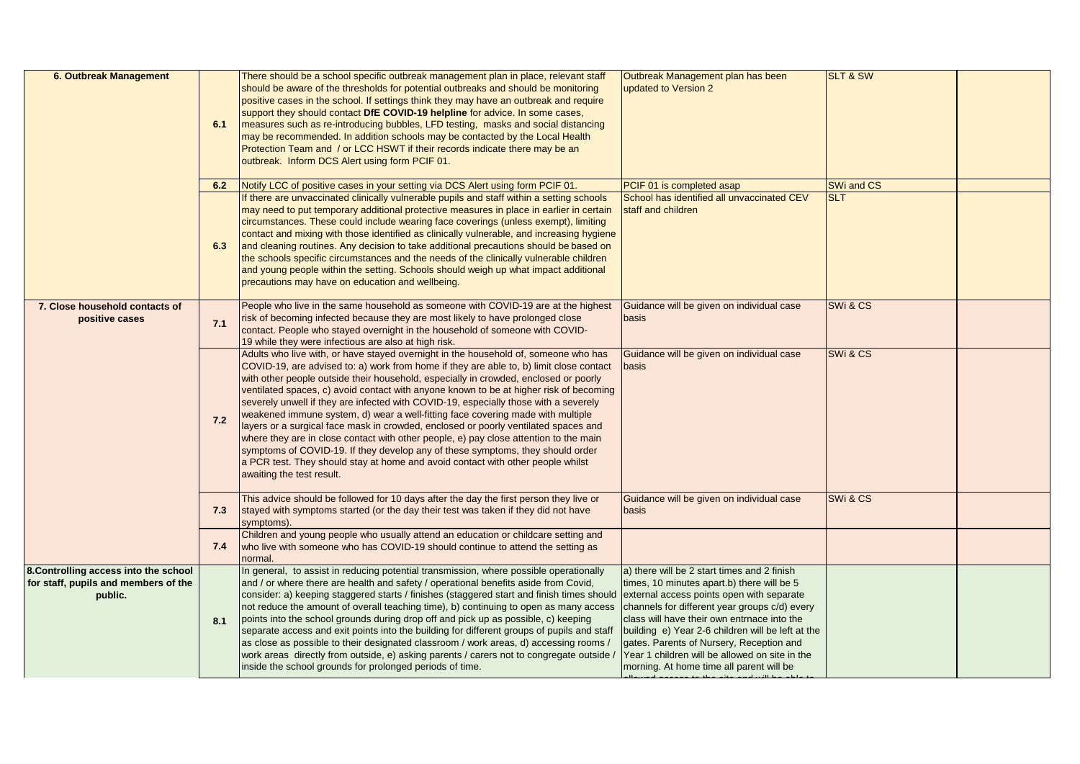| <b>6. Outbreak Management</b>                                                            | 6.1<br>6.2 | There should be a school specific outbreak management plan in place, relevant staff<br>should be aware of the thresholds for potential outbreaks and should be monitoring<br>positive cases in the school. If settings think they may have an outbreak and require<br>support they should contact DfE COVID-19 helpline for advice. In some cases,<br>measures such as re-introducing bubbles, LFD testing, masks and social distancing<br>may be recommended. In addition schools may be contacted by the Local Health<br>Protection Team and / or LCC HSWT if their records indicate there may be an<br>outbreak. Inform DCS Alert using form PCIF 01.<br>Notify LCC of positive cases in your setting via DCS Alert using form PCIF 01.                                                                                                                                                                                    | Outbreak Management plan has been<br>updated to Version 2<br>PCIF 01 is completed asap                                                                                                                                                                                                                                                                                                                                                | <b>SLT &amp; SW</b><br>SWi and CS |  |
|------------------------------------------------------------------------------------------|------------|-------------------------------------------------------------------------------------------------------------------------------------------------------------------------------------------------------------------------------------------------------------------------------------------------------------------------------------------------------------------------------------------------------------------------------------------------------------------------------------------------------------------------------------------------------------------------------------------------------------------------------------------------------------------------------------------------------------------------------------------------------------------------------------------------------------------------------------------------------------------------------------------------------------------------------|---------------------------------------------------------------------------------------------------------------------------------------------------------------------------------------------------------------------------------------------------------------------------------------------------------------------------------------------------------------------------------------------------------------------------------------|-----------------------------------|--|
|                                                                                          | 6.3        | If there are unvaccinated clinically vulnerable pupils and staff within a setting schools<br>may need to put temporary additional protective measures in place in earlier in certain<br>circumstances. These could include wearing face coverings (unless exempt), limiting<br>contact and mixing with those identified as clinically vulnerable, and increasing hygiene<br>and cleaning routines. Any decision to take additional precautions should be based on<br>the schools specific circumstances and the needs of the clinically vulnerable children<br>and young people within the setting. Schools should weigh up what impact additional<br>precautions may have on education and wellbeing.                                                                                                                                                                                                                        | School has identified all unvaccinated CEV<br>staff and children                                                                                                                                                                                                                                                                                                                                                                      | <b>SLT</b>                        |  |
| 7. Close household contacts of<br>positive cases                                         | 7.1        | People who live in the same household as someone with COVID-19 are at the highest<br>risk of becoming infected because they are most likely to have prolonged close<br>contact. People who stayed overnight in the household of someone with COVID-<br>19 while they were infectious are also at high risk.                                                                                                                                                                                                                                                                                                                                                                                                                                                                                                                                                                                                                   | Guidance will be given on individual case<br>basis                                                                                                                                                                                                                                                                                                                                                                                    | SWi & CS                          |  |
|                                                                                          | 7.2        | Adults who live with, or have stayed overnight in the household of, someone who has<br>COVID-19, are advised to: a) work from home if they are able to, b) limit close contact<br>with other people outside their household, especially in crowded, enclosed or poorly<br>ventilated spaces, c) avoid contact with anyone known to be at higher risk of becoming<br>severely unwell if they are infected with COVID-19, especially those with a severely<br>weakened immune system, d) wear a well-fitting face covering made with multiple<br>layers or a surgical face mask in crowded, enclosed or poorly ventilated spaces and<br>where they are in close contact with other people, e) pay close attention to the main<br>symptoms of COVID-19. If they develop any of these symptoms, they should order<br>a PCR test. They should stay at home and avoid contact with other people whilst<br>awaiting the test result. | Guidance will be given on individual case<br>basis                                                                                                                                                                                                                                                                                                                                                                                    | SWi & CS                          |  |
|                                                                                          | 7.3        | This advice should be followed for 10 days after the day the first person they live or<br>stayed with symptoms started (or the day their test was taken if they did not have<br>symptoms).                                                                                                                                                                                                                                                                                                                                                                                                                                                                                                                                                                                                                                                                                                                                    | Guidance will be given on individual case<br>basis                                                                                                                                                                                                                                                                                                                                                                                    | SWi & CS                          |  |
|                                                                                          | 7.4        | Children and young people who usually attend an education or childcare setting and<br>who live with someone who has COVID-19 should continue to attend the setting as<br>normal.                                                                                                                                                                                                                                                                                                                                                                                                                                                                                                                                                                                                                                                                                                                                              |                                                                                                                                                                                                                                                                                                                                                                                                                                       |                                   |  |
| 8. Controlling access into the school<br>for staff, pupils and members of the<br>public. | 8.1        | In general, to assist in reducing potential transmission, where possible operationally<br>and / or where there are health and safety / operational benefits aside from Covid,<br>consider: a) keeping staggered starts / finishes (staggered start and finish times should<br>not reduce the amount of overall teaching time), b) continuing to open as many access<br>points into the school grounds during drop off and pick up as possible, c) keeping<br>separate access and exit points into the building for different groups of pupils and staff<br>as close as possible to their designated classroom / work areas, d) accessing rooms /<br>work areas directly from outside, e) asking parents / carers not to congregate outside /<br>inside the school grounds for prolonged periods of time.                                                                                                                      | a) there will be 2 start times and 2 finish<br>times, 10 minutes apart.b) there will be 5<br>external access points open with separate<br>channels for different year groups c/d) every<br>class will have their own entrnace into the<br>building e) Year 2-6 children will be left at the<br>gates. Parents of Nursery, Reception and<br>Year 1 children will be allowed on site in the<br>morning. At home time all parent will be |                                   |  |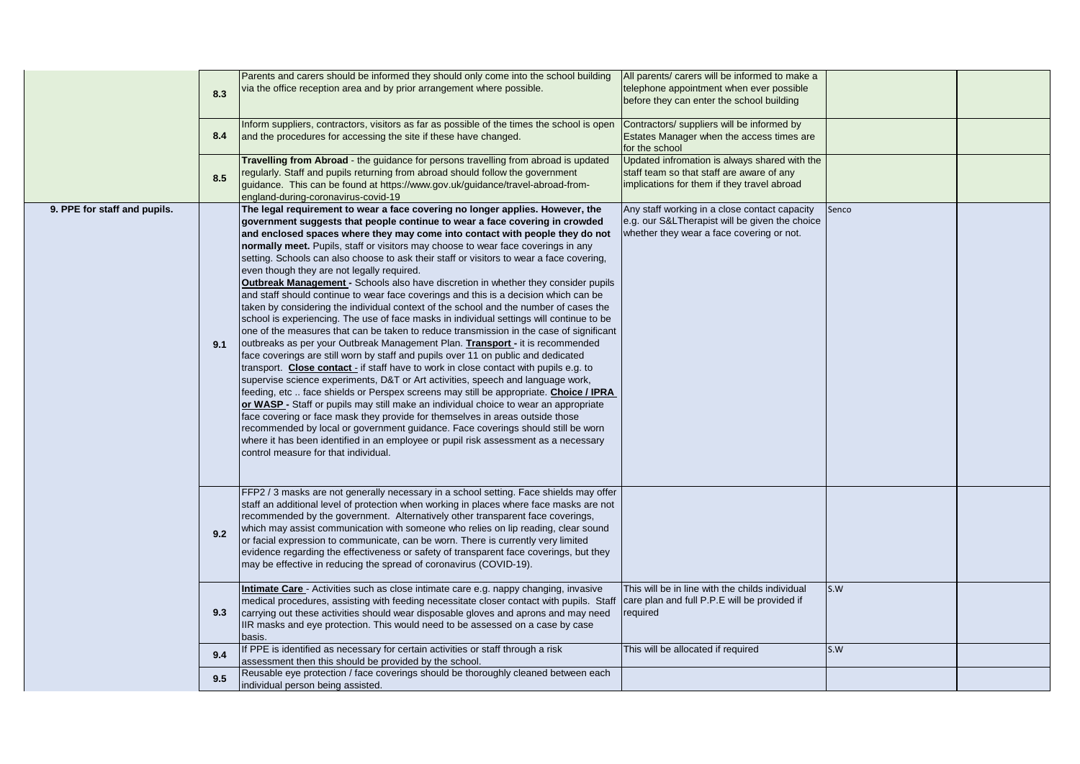|                              | 8.3 | Parents and carers should be informed they should only come into the school building<br>via the office reception area and by prior arrangement where possible.                                                                                                                                                                                                                                                                                                                                                                                                                                                                                                                                                                                                                                                                                                                                                                                                                                                                                                                                                                                                                                                                                                                                                                                                                                                                                                                                                                                                                                                                                                                                                                                                                          | All parents/ carers will be informed to make a<br>telephone appointment when ever possible<br>before they can enter the school building      |       |  |
|------------------------------|-----|-----------------------------------------------------------------------------------------------------------------------------------------------------------------------------------------------------------------------------------------------------------------------------------------------------------------------------------------------------------------------------------------------------------------------------------------------------------------------------------------------------------------------------------------------------------------------------------------------------------------------------------------------------------------------------------------------------------------------------------------------------------------------------------------------------------------------------------------------------------------------------------------------------------------------------------------------------------------------------------------------------------------------------------------------------------------------------------------------------------------------------------------------------------------------------------------------------------------------------------------------------------------------------------------------------------------------------------------------------------------------------------------------------------------------------------------------------------------------------------------------------------------------------------------------------------------------------------------------------------------------------------------------------------------------------------------------------------------------------------------------------------------------------------------|----------------------------------------------------------------------------------------------------------------------------------------------|-------|--|
|                              | 8.4 | Inform suppliers, contractors, visitors as far as possible of the times the school is open<br>and the procedures for accessing the site if these have changed.                                                                                                                                                                                                                                                                                                                                                                                                                                                                                                                                                                                                                                                                                                                                                                                                                                                                                                                                                                                                                                                                                                                                                                                                                                                                                                                                                                                                                                                                                                                                                                                                                          | Contractors/ suppliers will be informed by<br>Estates Manager when the access times are<br>for the school                                    |       |  |
|                              | 8.5 | Travelling from Abroad - the guidance for persons travelling from abroad is updated<br>regularly. Staff and pupils returning from abroad should follow the government<br>guidance. This can be found at https://www.gov.uk/guidance/travel-abroad-from-<br>england-during-coronavirus-covid-19                                                                                                                                                                                                                                                                                                                                                                                                                                                                                                                                                                                                                                                                                                                                                                                                                                                                                                                                                                                                                                                                                                                                                                                                                                                                                                                                                                                                                                                                                          | Updated infromation is always shared with the<br>staff team so that staff are aware of any<br>implications for them if they travel abroad    |       |  |
| 9. PPE for staff and pupils. | 9.1 | The legal requirement to wear a face covering no longer applies. However, the<br>government suggests that people continue to wear a face covering in crowded<br>and enclosed spaces where they may come into contact with people they do not<br>normally meet. Pupils, staff or visitors may choose to wear face coverings in any<br>setting. Schools can also choose to ask their staff or visitors to wear a face covering,<br>even though they are not legally required.<br><b>Outbreak Management - Schools also have discretion in whether they consider pupils</b><br>and staff should continue to wear face coverings and this is a decision which can be<br>taken by considering the individual context of the school and the number of cases the<br>school is experiencing. The use of face masks in individual settings will continue to be<br>one of the measures that can be taken to reduce transmission in the case of significant<br>outbreaks as per your Outbreak Management Plan. Transport - it is recommended<br>face coverings are still worn by staff and pupils over 11 on public and dedicated<br>transport. Close contact - if staff have to work in close contact with pupils e.g. to<br>supervise science experiments, D&T or Art activities, speech and language work,<br>feeding, etc  face shields or Perspex screens may still be appropriate. Choice / IPRA<br>or WASP - Staff or pupils may still make an individual choice to wear an appropriate<br>face covering or face mask they provide for themselves in areas outside those<br>recommended by local or government guidance. Face coverings should still be worn<br>where it has been identified in an employee or pupil risk assessment as a necessary<br>control measure for that individual. | Any staff working in a close contact capacity<br>e.g. our S&LTherapist will be given the choice<br>whether they wear a face covering or not. | Senco |  |
|                              | 9.2 | FFP2 / 3 masks are not generally necessary in a school setting. Face shields may offer<br>staff an additional level of protection when working in places where face masks are not<br>recommended by the government. Alternatively other transparent face coverings,<br>which may assist communication with someone who relies on lip reading, clear sound<br>or facial expression to communicate, can be worn. There is currently very limited<br>evidence regarding the effectiveness or safety of transparent face coverings, but they<br>may be effective in reducing the spread of coronavirus (COVID-19).                                                                                                                                                                                                                                                                                                                                                                                                                                                                                                                                                                                                                                                                                                                                                                                                                                                                                                                                                                                                                                                                                                                                                                          |                                                                                                                                              |       |  |
|                              | 9.3 | <b>Intimate Care</b> - Activities such as close intimate care e.g. nappy changing, invasive<br>medical procedures, assisting with feeding necessitate closer contact with pupils. Staff<br>carrying out these activities should wear disposable gloves and aprons and may need<br>IIR masks and eye protection. This would need to be assessed on a case by case<br>basis.                                                                                                                                                                                                                                                                                                                                                                                                                                                                                                                                                                                                                                                                                                                                                                                                                                                                                                                                                                                                                                                                                                                                                                                                                                                                                                                                                                                                              | This will be in line with the childs individual<br>care plan and full P.P.E will be provided if<br>required                                  | S.W   |  |
|                              | 9.4 | If PPE is identified as necessary for certain activities or staff through a risk<br>assessment then this should be provided by the school.                                                                                                                                                                                                                                                                                                                                                                                                                                                                                                                                                                                                                                                                                                                                                                                                                                                                                                                                                                                                                                                                                                                                                                                                                                                                                                                                                                                                                                                                                                                                                                                                                                              | This will be allocated if required                                                                                                           | S.W   |  |
|                              | 9.5 | Reusable eye protection / face coverings should be thoroughly cleaned between each<br>individual person being assisted.                                                                                                                                                                                                                                                                                                                                                                                                                                                                                                                                                                                                                                                                                                                                                                                                                                                                                                                                                                                                                                                                                                                                                                                                                                                                                                                                                                                                                                                                                                                                                                                                                                                                 |                                                                                                                                              |       |  |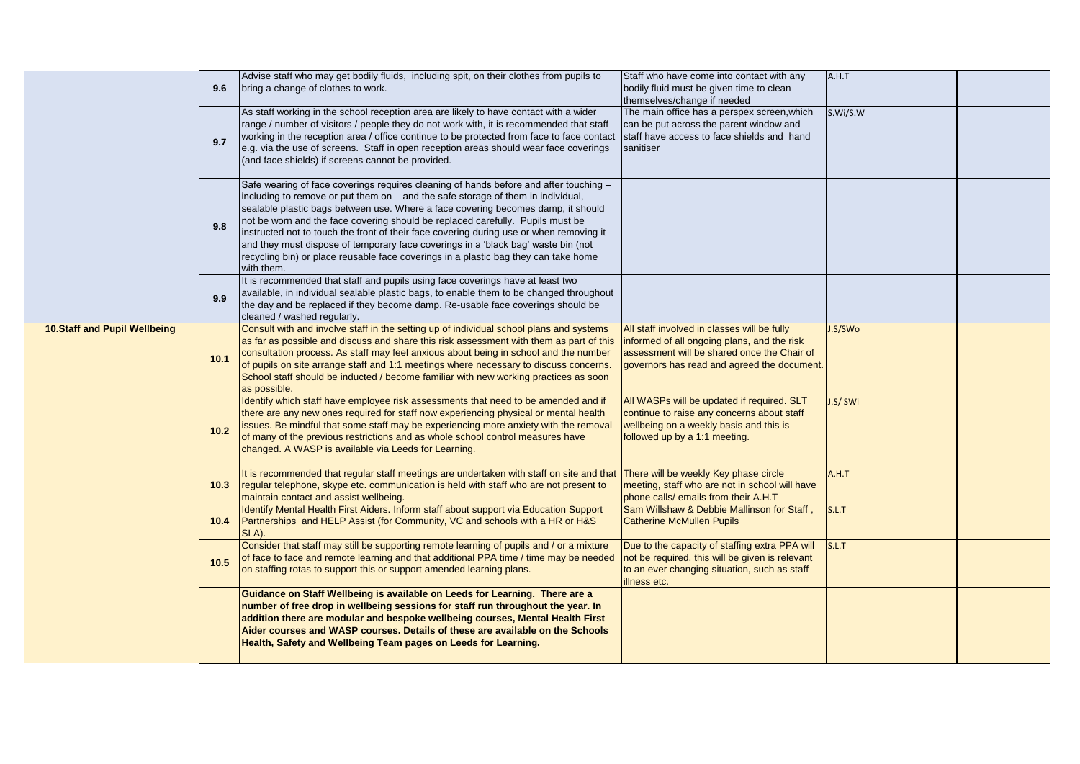|                               | 9.6  | Advise staff who may get bodily fluids, including spit, on their clothes from pupils to<br>bring a change of clothes to work.                                                                                                                                                                                                                                                                                                                                                                                                                                                                                                        | Staff who have come into contact with any<br>bodily fluid must be given time to clean<br>themselves/change if needed                                                                     | A.H.T    |  |
|-------------------------------|------|--------------------------------------------------------------------------------------------------------------------------------------------------------------------------------------------------------------------------------------------------------------------------------------------------------------------------------------------------------------------------------------------------------------------------------------------------------------------------------------------------------------------------------------------------------------------------------------------------------------------------------------|------------------------------------------------------------------------------------------------------------------------------------------------------------------------------------------|----------|--|
|                               | 9.7  | As staff working in the school reception area are likely to have contact with a wider<br>range / number of visitors / people they do not work with, it is recommended that staff<br>working in the reception area / office continue to be protected from face to face contact<br>e.g. via the use of screens. Staff in open reception areas should wear face coverings<br>(and face shields) if screens cannot be provided.                                                                                                                                                                                                          | The main office has a perspex screen, which<br>can be put across the parent window and<br>staff have access to face shields and hand<br>sanitiser                                        | S.Wi/S.W |  |
|                               | 9.8  | Safe wearing of face coverings requires cleaning of hands before and after touching -<br>including to remove or put them on - and the safe storage of them in individual,<br>sealable plastic bags between use. Where a face covering becomes damp, it should<br>not be worn and the face covering should be replaced carefully. Pupils must be<br>instructed not to touch the front of their face covering during use or when removing it<br>and they must dispose of temporary face coverings in a 'black bag' waste bin (not<br>recycling bin) or place reusable face coverings in a plastic bag they can take home<br>with them. |                                                                                                                                                                                          |          |  |
|                               | 9.9  | It is recommended that staff and pupils using face coverings have at least two<br>available, in individual sealable plastic bags, to enable them to be changed throughout<br>the day and be replaced if they become damp. Re-usable face coverings should be<br>cleaned / washed regularly.                                                                                                                                                                                                                                                                                                                                          |                                                                                                                                                                                          |          |  |
| 10. Staff and Pupil Wellbeing | 10.1 | Consult with and involve staff in the setting up of individual school plans and systems<br>as far as possible and discuss and share this risk assessment with them as part of this<br>consultation process. As staff may feel anxious about being in school and the number<br>of pupils on site arrange staff and 1:1 meetings where necessary to discuss concerns.<br>School staff should be inducted / become familiar with new working practices as soon<br>as possible.                                                                                                                                                          | All staff involved in classes will be fully<br>informed of all ongoing plans, and the risk<br>assessment will be shared once the Chair of<br>governors has read and agreed the document. | J.S/SWo  |  |
|                               | 10.2 | Identify which staff have employee risk assessments that need to be amended and if<br>there are any new ones required for staff now experiencing physical or mental health<br>issues. Be mindful that some staff may be experiencing more anxiety with the removal<br>of many of the previous restrictions and as whole school control measures have<br>changed. A WASP is available via Leeds for Learning.                                                                                                                                                                                                                         | All WASPs will be updated if required. SLT<br>continue to raise any concerns about staff<br>wellbeing on a weekly basis and this is<br>followed up by a 1:1 meeting.                     | J.S/SWi  |  |
|                               | 10.3 | It is recommended that regular staff meetings are undertaken with staff on site and that<br>regular telephone, skype etc. communication is held with staff who are not present to<br>maintain contact and assist wellbeing.                                                                                                                                                                                                                                                                                                                                                                                                          | There will be weekly Key phase circle<br>meeting, staff who are not in school will have<br>phone calls/ emails from their A.H.T                                                          | A.H.T    |  |
|                               | 10.4 | Identify Mental Health First Aiders. Inform staff about support via Education Support<br>Partnerships and HELP Assist (for Community, VC and schools with a HR or H&S<br>SLA).                                                                                                                                                                                                                                                                                                                                                                                                                                                       | Sam Willshaw & Debbie Mallinson for Staff,<br><b>Catherine McMullen Pupils</b>                                                                                                           | S.L.T    |  |
|                               | 10.5 | Consider that staff may still be supporting remote learning of pupils and / or a mixture<br>of face to face and remote learning and that additional PPA time / time may be needed<br>on staffing rotas to support this or support amended learning plans.                                                                                                                                                                                                                                                                                                                                                                            | Due to the capacity of staffing extra PPA will<br>not be required, this will be given is relevant<br>to an ever changing situation, such as staff<br>illness etc.                        | S.L.T    |  |
|                               |      | Guidance on Staff Wellbeing is available on Leeds for Learning. There are a<br>number of free drop in wellbeing sessions for staff run throughout the year. In<br>addition there are modular and bespoke wellbeing courses, Mental Health First<br>Aider courses and WASP courses. Details of these are available on the Schools<br>Health, Safety and Wellbeing Team pages on Leeds for Learning.                                                                                                                                                                                                                                   |                                                                                                                                                                                          |          |  |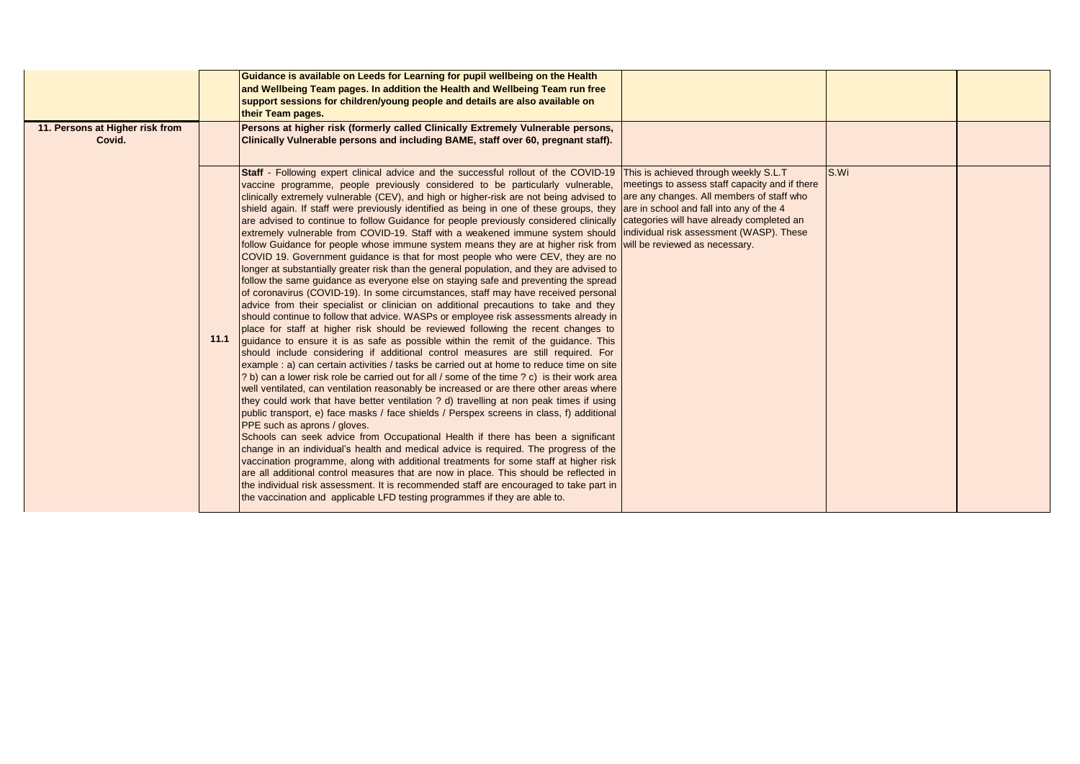|                                           |      | Guidance is available on Leeds for Learning for pupil wellbeing on the Health<br>and Wellbeing Team pages. In addition the Health and Wellbeing Team run free<br>support sessions for children/young people and details are also available on<br>their Team pages.                                                                                                                                                                                                                                                                                                                                                                                                                                                                                                                                                                                                                                                                                                                                                                                                                                                                                                                                                                                                                                                                                                                                                                                                                                                                                                                                                                                                                                                                                                                                                                                                                                                                                                                                                                                                                                                                                                                                                                                                                                                                                                                                                                                                                                                                                                                                                                                                                                                                                                                         |      |  |
|-------------------------------------------|------|--------------------------------------------------------------------------------------------------------------------------------------------------------------------------------------------------------------------------------------------------------------------------------------------------------------------------------------------------------------------------------------------------------------------------------------------------------------------------------------------------------------------------------------------------------------------------------------------------------------------------------------------------------------------------------------------------------------------------------------------------------------------------------------------------------------------------------------------------------------------------------------------------------------------------------------------------------------------------------------------------------------------------------------------------------------------------------------------------------------------------------------------------------------------------------------------------------------------------------------------------------------------------------------------------------------------------------------------------------------------------------------------------------------------------------------------------------------------------------------------------------------------------------------------------------------------------------------------------------------------------------------------------------------------------------------------------------------------------------------------------------------------------------------------------------------------------------------------------------------------------------------------------------------------------------------------------------------------------------------------------------------------------------------------------------------------------------------------------------------------------------------------------------------------------------------------------------------------------------------------------------------------------------------------------------------------------------------------------------------------------------------------------------------------------------------------------------------------------------------------------------------------------------------------------------------------------------------------------------------------------------------------------------------------------------------------------------------------------------------------------------------------------------------------|------|--|
| 11. Persons at Higher risk from<br>Covid. |      | Persons at higher risk (formerly called Clinically Extremely Vulnerable persons,<br>Clinically Vulnerable persons and including BAME, staff over 60, pregnant staff).                                                                                                                                                                                                                                                                                                                                                                                                                                                                                                                                                                                                                                                                                                                                                                                                                                                                                                                                                                                                                                                                                                                                                                                                                                                                                                                                                                                                                                                                                                                                                                                                                                                                                                                                                                                                                                                                                                                                                                                                                                                                                                                                                                                                                                                                                                                                                                                                                                                                                                                                                                                                                      |      |  |
|                                           | 11.1 | Staff - Following expert clinical advice and the successful rollout of the COVID-19 This is achieved through weekly S.L.T<br>vaccine programme, people previously considered to be particularly vulnerable, meetings to assess staff capacity and if there<br>clinically extremely vulnerable (CEV), and high or higher-risk are not being advised to are any changes. All members of staff who<br>shield again. If staff were previously identified as being in one of these groups, they are in school and fall into any of the 4<br>are advised to continue to follow Guidance for people previously considered clinically categories will have already completed an<br>extremely vulnerable from COVID-19. Staff with a weakened immune system should individual risk assessment (WASP). These<br>follow Guidance for people whose immune system means they are at higher risk from will be reviewed as necessary.<br>COVID 19. Government guidance is that for most people who were CEV, they are no<br>longer at substantially greater risk than the general population, and they are advised to<br>follow the same guidance as everyone else on staying safe and preventing the spread<br>of coronavirus (COVID-19). In some circumstances, staff may have received personal<br>advice from their specialist or clinician on additional precautions to take and they<br>should continue to follow that advice. WASPs or employee risk assessments already in<br>place for staff at higher risk should be reviewed following the recent changes to<br>guidance to ensure it is as safe as possible within the remit of the guidance. This<br>should include considering if additional control measures are still required. For<br>example : a) can certain activities / tasks be carried out at home to reduce time on site<br>? b) can a lower risk role be carried out for all / some of the time ? c) is their work area<br>well ventilated, can ventilation reasonably be increased or are there other areas where<br>they could work that have better ventilation ? d) travelling at non peak times if using<br>public transport, e) face masks / face shields / Perspex screens in class, f) additional<br>PPE such as aprons / gloves.<br>Schools can seek advice from Occupational Health if there has been a significant<br>change in an individual's health and medical advice is required. The progress of the<br>vaccination programme, along with additional treatments for some staff at higher risk<br>are all additional control measures that are now in place. This should be reflected in<br>the individual risk assessment. It is recommended staff are encouraged to take part in<br>the vaccination and applicable LFD testing programmes if they are able to. | S.Wi |  |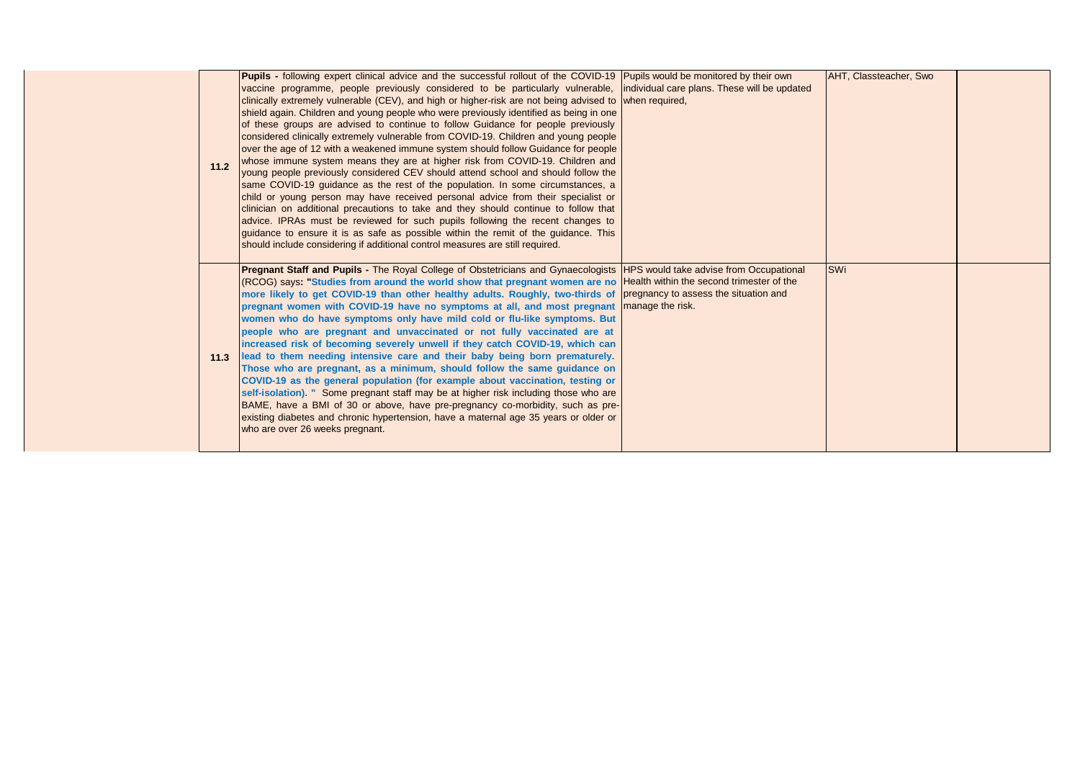| 11.2 | <b>Pupils</b> - following expert clinical advice and the successful rollout of the COVID-19 Pupils would be monitored by their own<br>vaccine programme, people previously considered to be particularly vulnerable, individual care plans. These will be updated<br>clinically extremely vulnerable (CEV), and high or higher-risk are not being advised to when required,<br>shield again. Children and young people who were previously identified as being in one<br>of these groups are advised to continue to follow Guidance for people previously<br>considered clinically extremely vulnerable from COVID-19. Children and young people<br>over the age of 12 with a weakened immune system should follow Guidance for people<br>whose immune system means they are at higher risk from COVID-19. Children and<br>young people previously considered CEV should attend school and should follow the<br>same COVID-19 guidance as the rest of the population. In some circumstances, a<br>child or young person may have received personal advice from their specialist or<br>clinician on additional precautions to take and they should continue to follow that<br>advice. IPRAs must be reviewed for such pupils following the recent changes to<br>guidance to ensure it is as safe as possible within the remit of the guidance. This<br>should include considering if additional control measures are still required. |                  | <b>AHT, Classteacher, Swo</b> |  |
|------|-------------------------------------------------------------------------------------------------------------------------------------------------------------------------------------------------------------------------------------------------------------------------------------------------------------------------------------------------------------------------------------------------------------------------------------------------------------------------------------------------------------------------------------------------------------------------------------------------------------------------------------------------------------------------------------------------------------------------------------------------------------------------------------------------------------------------------------------------------------------------------------------------------------------------------------------------------------------------------------------------------------------------------------------------------------------------------------------------------------------------------------------------------------------------------------------------------------------------------------------------------------------------------------------------------------------------------------------------------------------------------------------------------------------------------------|------------------|-------------------------------|--|
|      | <b>Pregnant Staff and Pupils -</b> The Royal College of Obstetricians and Gynaecologists HPS would take advise from Occupational<br>(RCOG) says: "Studies from around the world show that pregnant women are no Health within the second trimester of the<br>more likely to get COVID-19 than other healthy adults. Roughly, two-thirds of pregnancy to assess the situation and<br>pregnant women with COVID-19 have no symptoms at all, and most pregnant<br>women who do have symptoms only have mild cold or flu-like symptoms. But<br>people who are pregnant and unvaccinated or not fully vaccinated are at<br>increased risk of becoming severely unwell if they catch COVID-19, which can<br>11.3 lead to them needing intensive care and their baby being born prematurely.<br>Those who are pregnant, as a minimum, should follow the same guidance on<br>COVID-19 as the general population (for example about vaccination, testing or<br>self-isolation). " Some pregnant staff may be at higher risk including those who are<br>BAME, have a BMI of 30 or above, have pre-pregnancy co-morbidity, such as pre-<br>existing diabetes and chronic hypertension, have a maternal age 35 years or older or<br>who are over 26 weeks pregnant.                                                                                                                                                                             | manage the risk. | <b>SWi</b>                    |  |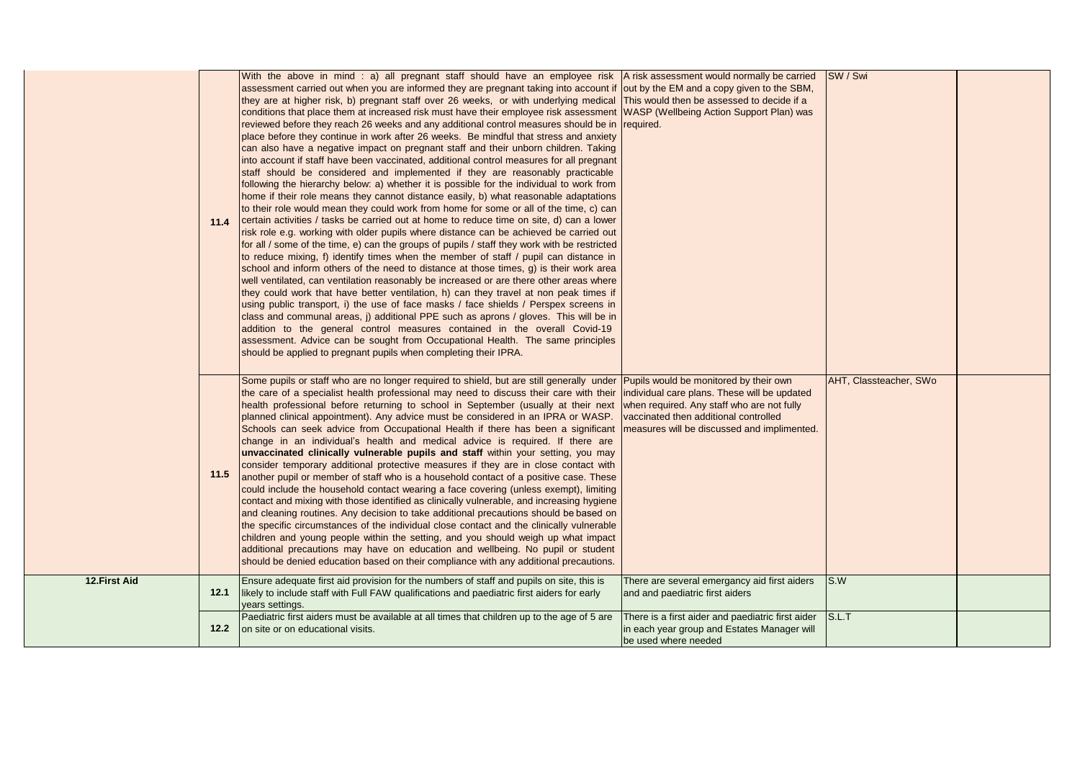|               | 11.4 | With the above in mind : a) all pregnant staff should have an employee risk<br>assessment carried out when you are informed they are pregnant taking into account if out by the EM and a copy given to the SBM,<br>they are at higher risk, b) pregnant staff over 26 weeks, or with underlying medical This would then be assessed to decide if a<br>conditions that place them at increased risk must have their employee risk assessment WASP (Wellbeing Action Support Plan) was<br>reviewed before they reach 26 weeks and any additional control measures should be in required.<br>place before they continue in work after 26 weeks. Be mindful that stress and anxiety<br>can also have a negative impact on pregnant staff and their unborn children. Taking<br>into account if staff have been vaccinated, additional control measures for all pregnant<br>staff should be considered and implemented if they are reasonably practicable<br>following the hierarchy below: a) whether it is possible for the individual to work from<br>home if their role means they cannot distance easily, b) what reasonable adaptations<br>to their role would mean they could work from home for some or all of the time, c) can<br>certain activities / tasks be carried out at home to reduce time on site, d) can a lower<br>risk role e.g. working with older pupils where distance can be achieved be carried out<br>for all / some of the time, e) can the groups of pupils / staff they work with be restricted<br>to reduce mixing, f) identify times when the member of staff / pupil can distance in<br>school and inform others of the need to distance at those times, g) is their work area<br>well ventilated, can ventilation reasonably be increased or are there other areas where<br>they could work that have better ventilation, h) can they travel at non peak times if<br>using public transport, i) the use of face masks / face shields / Perspex screens in<br>class and communal areas, j) additional PPE such as aprons / gloves. This will be in<br>addition to the general control measures contained in the overall Covid-19<br>assessment. Advice can be sought from Occupational Health. The same principles<br>should be applied to pregnant pupils when completing their IPRA. | A risk assessment would normally be carried                                                                              | SW / Swi               |  |
|---------------|------|-------------------------------------------------------------------------------------------------------------------------------------------------------------------------------------------------------------------------------------------------------------------------------------------------------------------------------------------------------------------------------------------------------------------------------------------------------------------------------------------------------------------------------------------------------------------------------------------------------------------------------------------------------------------------------------------------------------------------------------------------------------------------------------------------------------------------------------------------------------------------------------------------------------------------------------------------------------------------------------------------------------------------------------------------------------------------------------------------------------------------------------------------------------------------------------------------------------------------------------------------------------------------------------------------------------------------------------------------------------------------------------------------------------------------------------------------------------------------------------------------------------------------------------------------------------------------------------------------------------------------------------------------------------------------------------------------------------------------------------------------------------------------------------------------------------------------------------------------------------------------------------------------------------------------------------------------------------------------------------------------------------------------------------------------------------------------------------------------------------------------------------------------------------------------------------------------------------------------------------------------------------------------------------------------------------------|--------------------------------------------------------------------------------------------------------------------------|------------------------|--|
|               | 11.5 | Some pupils or staff who are no longer required to shield, but are still generally under Pupils would be monitored by their own<br>the care of a specialist health professional may need to discuss their care with their individual care plans. These will be updated<br>health professional before returning to school in September (usually at their next when required. Any staff who are not fully<br>planned clinical appointment). Any advice must be considered in an IPRA or WASP.<br>Schools can seek advice from Occupational Health if there has been a significant   measures will be discussed and implimented.<br>change in an individual's health and medical advice is required. If there are<br>unvaccinated clinically vulnerable pupils and staff within your setting, you may<br>consider temporary additional protective measures if they are in close contact with<br>another pupil or member of staff who is a household contact of a positive case. These<br>could include the household contact wearing a face covering (unless exempt), limiting<br>contact and mixing with those identified as clinically vulnerable, and increasing hygiene<br>and cleaning routines. Any decision to take additional precautions should be based on<br>the specific circumstances of the individual close contact and the clinically vulnerable<br>children and young people within the setting, and you should weigh up what impact<br>additional precautions may have on education and wellbeing. No pupil or student<br>should be denied education based on their compliance with any additional precautions.                                                                                                                                                                                                                                                                                                                                                                                                                                                                                                                                                                                                                                                                                    | vaccinated then additional controlled                                                                                    | AHT, Classteacher, SWo |  |
| 12. First Aid | 12.1 | Ensure adequate first aid provision for the numbers of staff and pupils on site, this is<br>likely to include staff with Full FAW qualifications and paediatric first aiders for early<br>years settings.                                                                                                                                                                                                                                                                                                                                                                                                                                                                                                                                                                                                                                                                                                                                                                                                                                                                                                                                                                                                                                                                                                                                                                                                                                                                                                                                                                                                                                                                                                                                                                                                                                                                                                                                                                                                                                                                                                                                                                                                                                                                                                         | There are several emergancy aid first aiders<br>and and paediatric first aiders                                          | S.W                    |  |
|               | 12.2 | Paediatric first aiders must be available at all times that children up to the age of 5 are<br>on site or on educational visits.                                                                                                                                                                                                                                                                                                                                                                                                                                                                                                                                                                                                                                                                                                                                                                                                                                                                                                                                                                                                                                                                                                                                                                                                                                                                                                                                                                                                                                                                                                                                                                                                                                                                                                                                                                                                                                                                                                                                                                                                                                                                                                                                                                                  | There is a first aider and paediatric first aider<br>in each year group and Estates Manager will<br>be used where needed | S.L.T                  |  |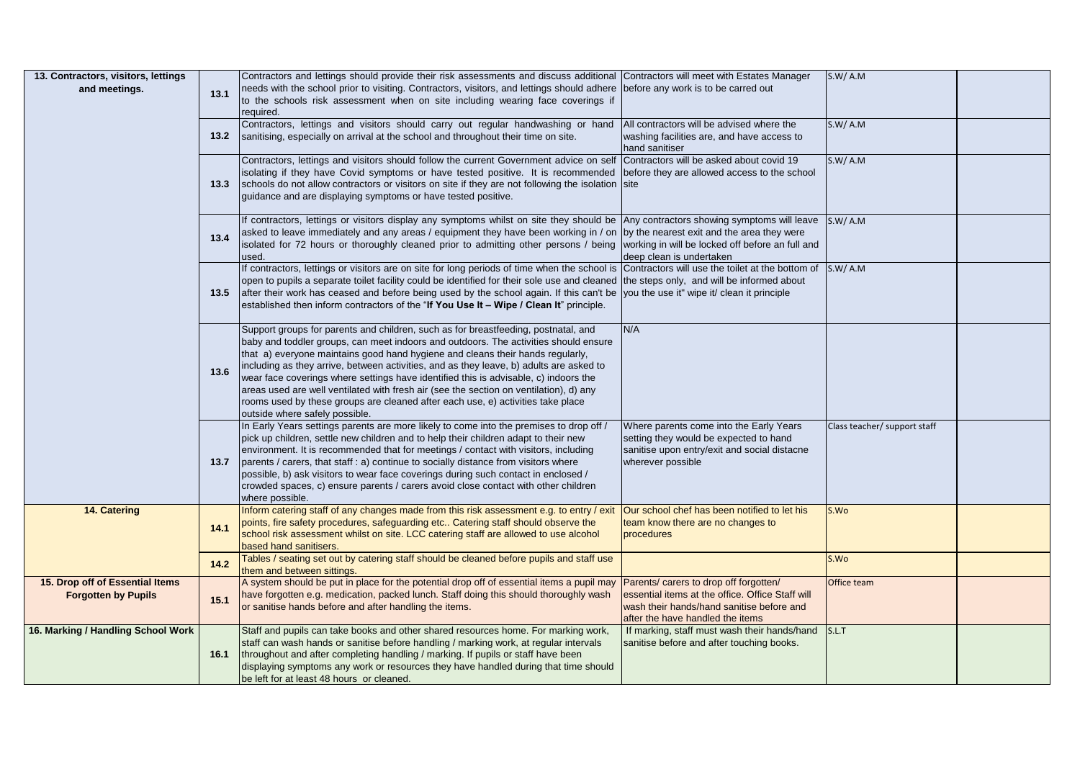| 13. Contractors, visitors, lettings |      | Contractors and lettings should provide their risk assessments and discuss additional Contractors will meet with Estates Manager              |                                                  | S.W/A.M                      |  |
|-------------------------------------|------|-----------------------------------------------------------------------------------------------------------------------------------------------|--------------------------------------------------|------------------------------|--|
| and meetings.                       | 13.1 | needs with the school prior to visiting. Contractors, visitors, and lettings should adhere (before any work is to be carred out               |                                                  |                              |  |
|                                     |      | to the schools risk assessment when on site including wearing face coverings if                                                               |                                                  |                              |  |
|                                     |      | required.                                                                                                                                     |                                                  |                              |  |
|                                     |      | Contractors, lettings and visitors should carry out regular handwashing or hand                                                               | All contractors will be advised where the        | S.W/ A.M                     |  |
|                                     | 13.2 | sanitising, especially on arrival at the school and throughout their time on site.                                                            | washing facilities are, and have access to       |                              |  |
|                                     |      |                                                                                                                                               | hand sanitiser                                   |                              |  |
|                                     |      | Contractors, lettings and visitors should follow the current Government advice on self Contractors will be asked about covid 19               |                                                  | S.W/A.M                      |  |
|                                     |      | isolating if they have Covid symptoms or have tested positive. It is recommended before they are allowed access to the school                 |                                                  |                              |  |
|                                     | 13.3 | schools do not allow contractors or visitors on site if they are not following the isolation site                                             |                                                  |                              |  |
|                                     |      | guidance and are displaying symptoms or have tested positive.                                                                                 |                                                  |                              |  |
|                                     |      |                                                                                                                                               |                                                  |                              |  |
|                                     |      | If contractors, lettings or visitors display any symptoms whilst on site they should be Any contractors showing symptoms will leave           |                                                  | S.W/A.M                      |  |
|                                     | 13.4 | asked to leave immediately and any areas / equipment they have been working in / on by the nearest exit and the area they were                |                                                  |                              |  |
|                                     |      | isolated for 72 hours or thoroughly cleaned prior to admitting other persons / being working in will be locked off before an full and         |                                                  |                              |  |
|                                     |      | used.                                                                                                                                         | deep clean is undertaken                         |                              |  |
|                                     |      | If contractors, lettings or visitors are on site for long periods of time when the school is Contractors will use the toilet at the bottom of |                                                  | S.W/A.M                      |  |
|                                     |      | open to pupils a separate toilet facility could be identified for their sole use and cleaned the steps only, and will be informed about       |                                                  |                              |  |
|                                     | 13.5 | after their work has ceased and before being used by the school again. If this can't be vou the use it" wipe it/ clean it principle           |                                                  |                              |  |
|                                     |      | established then inform contractors of the "If You Use It - Wipe / Clean It" principle.                                                       |                                                  |                              |  |
|                                     |      |                                                                                                                                               |                                                  |                              |  |
|                                     |      | Support groups for parents and children, such as for breastfeeding, postnatal, and                                                            | N/A                                              |                              |  |
|                                     |      | baby and toddler groups, can meet indoors and outdoors. The activities should ensure                                                          |                                                  |                              |  |
|                                     |      | that a) everyone maintains good hand hygiene and cleans their hands regularly,                                                                |                                                  |                              |  |
|                                     |      | including as they arrive, between activities, and as they leave, b) adults are asked to                                                       |                                                  |                              |  |
|                                     | 13.6 | wear face coverings where settings have identified this is advisable, c) indoors the                                                          |                                                  |                              |  |
|                                     |      | areas used are well ventilated with fresh air (see the section on ventilation), d) any                                                        |                                                  |                              |  |
|                                     |      | rooms used by these groups are cleaned after each use, e) activities take place                                                               |                                                  |                              |  |
|                                     |      | outside where safely possible.                                                                                                                |                                                  |                              |  |
|                                     |      | In Early Years settings parents are more likely to come into the premises to drop off /                                                       | Where parents come into the Early Years          | Class teacher/ support staff |  |
|                                     |      | pick up children, settle new children and to help their children adapt to their new                                                           | setting they would be expected to hand           |                              |  |
|                                     |      | environment. It is recommended that for meetings / contact with visitors, including                                                           | sanitise upon entry/exit and social distacne     |                              |  |
|                                     | 13.7 | parents / carers, that staff : a) continue to socially distance from visitors where                                                           | wherever possible                                |                              |  |
|                                     |      | possible, b) ask visitors to wear face coverings during such contact in enclosed /                                                            |                                                  |                              |  |
|                                     |      | crowded spaces, c) ensure parents / carers avoid close contact with other children                                                            |                                                  |                              |  |
|                                     |      | where possible.                                                                                                                               |                                                  |                              |  |
| 14. Catering                        |      | Inform catering staff of any changes made from this risk assessment e.g. to entry / exit                                                      | Our school chef has been notified to let his     | S.Wo                         |  |
|                                     | 14.1 | points, fire safety procedures, safeguarding etc Catering staff should observe the                                                            | team know there are no changes to                |                              |  |
|                                     |      | school risk assessment whilst on site. LCC catering staff are allowed to use alcohol                                                          | procedures                                       |                              |  |
|                                     |      | based hand sanitisers.                                                                                                                        |                                                  |                              |  |
|                                     | 14.2 | Tables / seating set out by catering staff should be cleaned before pupils and staff use                                                      |                                                  | S.Wo                         |  |
|                                     |      | them and between sittings.                                                                                                                    |                                                  |                              |  |
| 15. Drop off of Essential Items     |      | A system should be put in place for the potential drop off of essential items a pupil may                                                     | Parents/ carers to drop off forgotten/           | Office team                  |  |
| <b>Forgotten by Pupils</b>          | 15.1 | have forgotten e.g. medication, packed lunch. Staff doing this should thoroughly wash                                                         | essential items at the office. Office Staff will |                              |  |
|                                     |      | or sanitise hands before and after handling the items.                                                                                        | wash their hands/hand sanitise before and        |                              |  |
|                                     |      |                                                                                                                                               | after the have handled the items                 |                              |  |
| 16. Marking / Handling School Work  |      | Staff and pupils can take books and other shared resources home. For marking work,                                                            | If marking, staff must wash their hands/hand     | S.L.T                        |  |
|                                     |      | staff can wash hands or sanitise before handling / marking work, at regular intervals                                                         | sanitise before and after touching books.        |                              |  |
|                                     | 16.1 | throughout and after completing handling / marking. If pupils or staff have been                                                              |                                                  |                              |  |
|                                     |      | displaying symptoms any work or resources they have handled during that time should                                                           |                                                  |                              |  |
|                                     |      | be left for at least 48 hours or cleaned.                                                                                                     |                                                  |                              |  |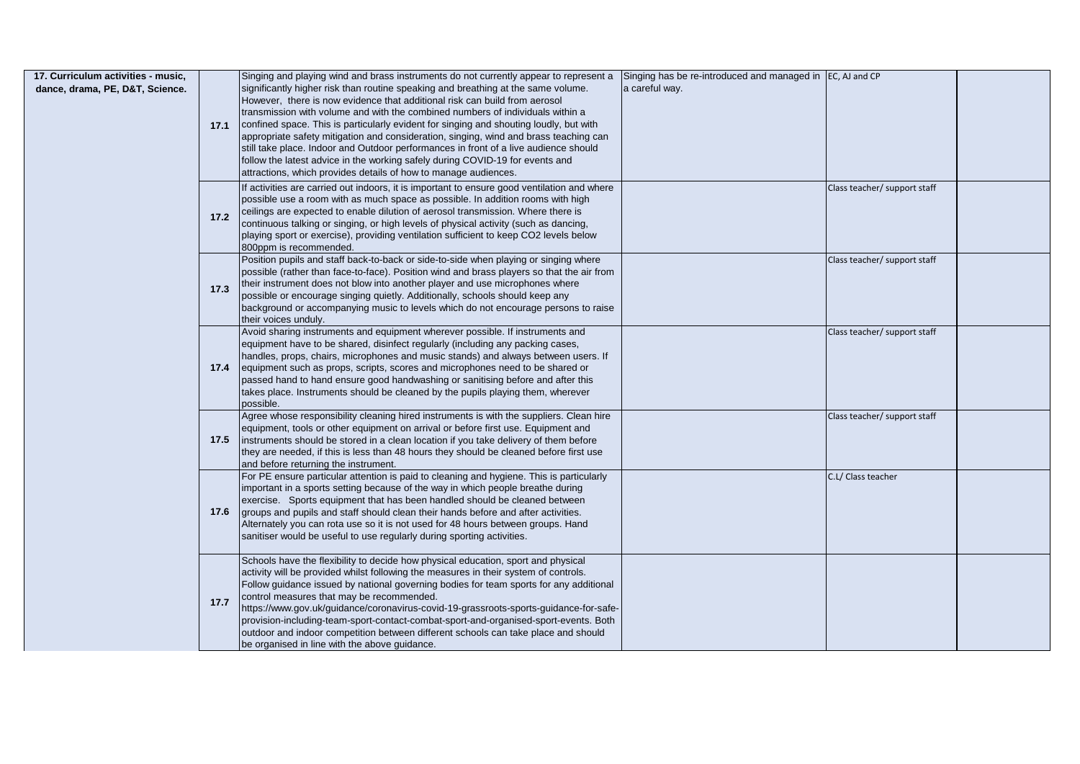| 17. Curriculum activities - music.<br>dance, drama, PE, D&T, Science. | 17.1 | Singing and playing wind and brass instruments do not currently appear to represent a<br>significantly higher risk than routine speaking and breathing at the same volume.<br>However, there is now evidence that additional risk can build from aerosol<br>transmission with volume and with the combined numbers of individuals within a<br>confined space. This is particularly evident for singing and shouting loudly, but with<br>appropriate safety mitigation and consideration, singing, wind and brass teaching can<br>still take place. Indoor and Outdoor performances in front of a live audience should<br>follow the latest advice in the working safely during COVID-19 for events and<br>attractions, which provides details of how to manage audiences.<br>If activities are carried out indoors, it is important to ensure good ventilation and where<br>possible use a room with as much space as possible. In addition rooms with high | Singing has be re-introduced and managed in JEC, AJ and CP<br>a careful way. | Class teacher/ support staff |  |
|-----------------------------------------------------------------------|------|-------------------------------------------------------------------------------------------------------------------------------------------------------------------------------------------------------------------------------------------------------------------------------------------------------------------------------------------------------------------------------------------------------------------------------------------------------------------------------------------------------------------------------------------------------------------------------------------------------------------------------------------------------------------------------------------------------------------------------------------------------------------------------------------------------------------------------------------------------------------------------------------------------------------------------------------------------------|------------------------------------------------------------------------------|------------------------------|--|
|                                                                       | 17.2 | ceilings are expected to enable dilution of aerosol transmission. Where there is<br>continuous talking or singing, or high levels of physical activity (such as dancing,<br>playing sport or exercise), providing ventilation sufficient to keep CO2 levels below<br>800ppm is recommended.                                                                                                                                                                                                                                                                                                                                                                                                                                                                                                                                                                                                                                                                 |                                                                              |                              |  |
|                                                                       | 17.3 | Position pupils and staff back-to-back or side-to-side when playing or singing where<br>possible (rather than face-to-face). Position wind and brass players so that the air from<br>their instrument does not blow into another player and use microphones where<br>possible or encourage singing quietly. Additionally, schools should keep any<br>background or accompanying music to levels which do not encourage persons to raise<br>their voices unduly.                                                                                                                                                                                                                                                                                                                                                                                                                                                                                             |                                                                              | Class teacher/ support staff |  |
|                                                                       |      | Avoid sharing instruments and equipment wherever possible. If instruments and<br>equipment have to be shared, disinfect regularly (including any packing cases,<br>handles, props, chairs, microphones and music stands) and always between users. If<br>17.4 equipment such as props, scripts, scores and microphones need to be shared or<br>passed hand to hand ensure good handwashing or sanitising before and after this<br>takes place. Instruments should be cleaned by the pupils playing them, wherever<br>possible.                                                                                                                                                                                                                                                                                                                                                                                                                              |                                                                              | Class teacher/ support staff |  |
|                                                                       | 17.5 | Agree whose responsibility cleaning hired instruments is with the suppliers. Clean hire<br>equipment, tools or other equipment on arrival or before first use. Equipment and<br>instruments should be stored in a clean location if you take delivery of them before<br>they are needed, if this is less than 48 hours they should be cleaned before first use<br>and before returning the instrument.                                                                                                                                                                                                                                                                                                                                                                                                                                                                                                                                                      |                                                                              | Class teacher/ support staff |  |
|                                                                       | 17.6 | For PE ensure particular attention is paid to cleaning and hygiene. This is particularly<br>important in a sports setting because of the way in which people breathe during<br>exercise. Sports equipment that has been handled should be cleaned between<br>groups and pupils and staff should clean their hands before and after activities.<br>Alternately you can rota use so it is not used for 48 hours between groups. Hand<br>sanitiser would be useful to use regularly during sporting activities.                                                                                                                                                                                                                                                                                                                                                                                                                                                |                                                                              | C.L/ Class teacher           |  |
|                                                                       | 17.7 | Schools have the flexibility to decide how physical education, sport and physical<br>activity will be provided whilst following the measures in their system of controls.<br>Follow guidance issued by national governing bodies for team sports for any additional<br>control measures that may be recommended.<br>https://www.gov.uk/guidance/coronavirus-covid-19-grassroots-sports-guidance-for-safe-<br>provision-including-team-sport-contact-combat-sport-and-organised-sport-events. Both<br>outdoor and indoor competition between different schools can take place and should<br>be organised in line with the above guidance.                                                                                                                                                                                                                                                                                                                    |                                                                              |                              |  |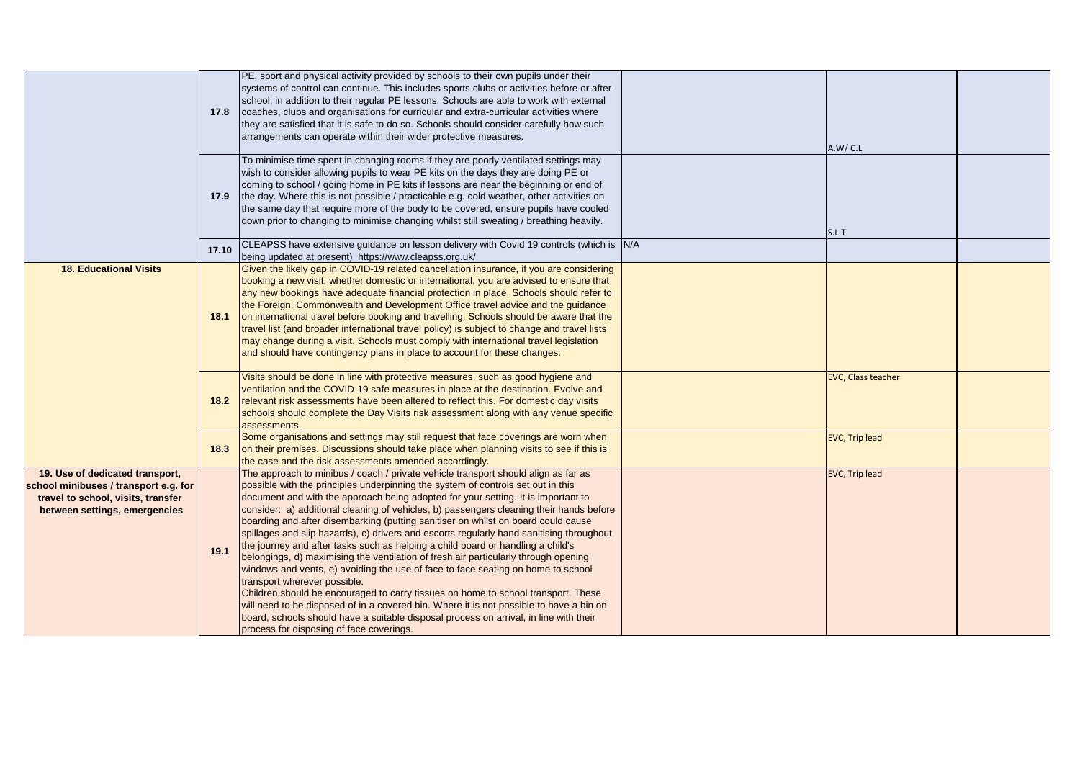|                                                                                                                                                 | 17.8   | PE, sport and physical activity provided by schools to their own pupils under their<br>systems of control can continue. This includes sports clubs or activities before or after<br>school, in addition to their regular PE lessons. Schools are able to work with external<br>coaches, clubs and organisations for curricular and extra-curricular activities where<br>they are satisfied that it is safe to do so. Schools should consider carefully how such<br>arrangements can operate within their wider protective measures.                                                                                                                                                                                                                                                                                                                                                                                                                                                                                                                                                                                                                        | A.W/C.L                   |  |
|-------------------------------------------------------------------------------------------------------------------------------------------------|--------|------------------------------------------------------------------------------------------------------------------------------------------------------------------------------------------------------------------------------------------------------------------------------------------------------------------------------------------------------------------------------------------------------------------------------------------------------------------------------------------------------------------------------------------------------------------------------------------------------------------------------------------------------------------------------------------------------------------------------------------------------------------------------------------------------------------------------------------------------------------------------------------------------------------------------------------------------------------------------------------------------------------------------------------------------------------------------------------------------------------------------------------------------------|---------------------------|--|
|                                                                                                                                                 | 17.9   | To minimise time spent in changing rooms if they are poorly ventilated settings may<br>wish to consider allowing pupils to wear PE kits on the days they are doing PE or<br>coming to school / going home in PE kits if lessons are near the beginning or end of<br>the day. Where this is not possible / practicable e.g. cold weather, other activities on<br>the same day that require more of the body to be covered, ensure pupils have cooled<br>down prior to changing to minimise changing whilst still sweating / breathing heavily.                                                                                                                                                                                                                                                                                                                                                                                                                                                                                                                                                                                                              | S.L.T                     |  |
|                                                                                                                                                 | 17.10  | CLEAPSS have extensive guidance on lesson delivery with Covid 19 controls (which is N/A<br>being updated at present) https://www.cleapss.org.uk/                                                                                                                                                                                                                                                                                                                                                                                                                                                                                                                                                                                                                                                                                                                                                                                                                                                                                                                                                                                                           |                           |  |
| <b>18. Educational Visits</b>                                                                                                                   | 18.1   | Given the likely gap in COVID-19 related cancellation insurance, if you are considering<br>booking a new visit, whether domestic or international, you are advised to ensure that<br>any new bookings have adequate financial protection in place. Schools should refer to<br>the Foreign, Commonwealth and Development Office travel advice and the guidance<br>on international travel before booking and travelling. Schools should be aware that the<br>travel list (and broader international travel policy) is subject to change and travel lists<br>may change during a visit. Schools must comply with international travel legislation<br>and should have contingency plans in place to account for these changes.                                                                                                                                                                                                                                                                                                                                                                                                                                |                           |  |
|                                                                                                                                                 | $18.2$ | Visits should be done in line with protective measures, such as good hygiene and<br>ventilation and the COVID-19 safe measures in place at the destination. Evolve and<br>relevant risk assessments have been altered to reflect this. For domestic day visits<br>schools should complete the Day Visits risk assessment along with any venue specific<br>assessments.                                                                                                                                                                                                                                                                                                                                                                                                                                                                                                                                                                                                                                                                                                                                                                                     | <b>EVC, Class teacher</b> |  |
|                                                                                                                                                 | 18.3   | Some organisations and settings may still request that face coverings are worn when<br>on their premises. Discussions should take place when planning visits to see if this is<br>the case and the risk assessments amended accordingly.                                                                                                                                                                                                                                                                                                                                                                                                                                                                                                                                                                                                                                                                                                                                                                                                                                                                                                                   | <b>EVC, Trip lead</b>     |  |
| 19. Use of dedicated transport,<br>school minibuses / transport e.g. for<br>travel to school, visits, transfer<br>between settings, emergencies | 19.1   | The approach to minibus / coach / private vehicle transport should align as far as<br>possible with the principles underpinning the system of controls set out in this<br>document and with the approach being adopted for your setting. It is important to<br>consider: a) additional cleaning of vehicles, b) passengers cleaning their hands before<br>boarding and after disembarking (putting sanitiser on whilst on board could cause<br>spillages and slip hazards), c) drivers and escorts regularly hand sanitising throughout<br>the journey and after tasks such as helping a child board or handling a child's<br>belongings, d) maximising the ventilation of fresh air particularly through opening<br>windows and vents, e) avoiding the use of face to face seating on home to school<br>transport wherever possible.<br>Children should be encouraged to carry tissues on home to school transport. These<br>will need to be disposed of in a covered bin. Where it is not possible to have a bin on<br>board, schools should have a suitable disposal process on arrival, in line with their<br>process for disposing of face coverings. | <b>EVC, Trip lead</b>     |  |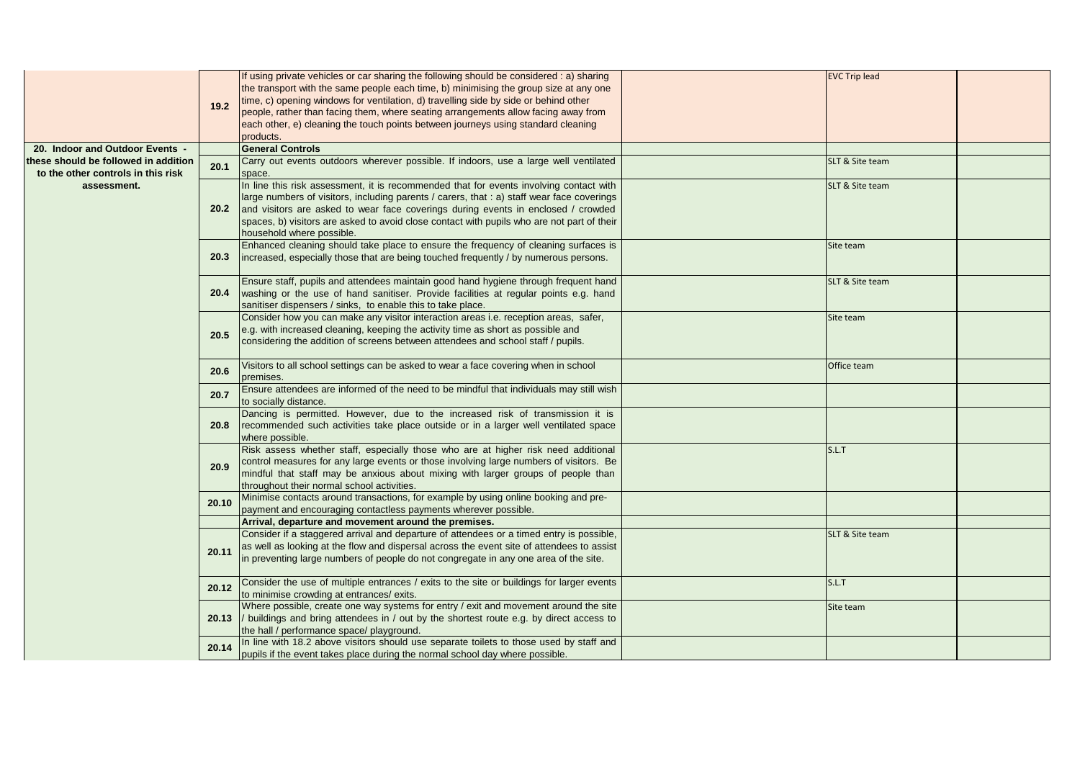|                                                                           | 19.2  | If using private vehicles or car sharing the following should be considered : a) sharing<br>the transport with the same people each time, b) minimising the group size at any one<br>time, c) opening windows for ventilation, d) travelling side by side or behind other<br>people, rather than facing them, where seating arrangements allow facing away from<br>each other, e) cleaning the touch points between journeys using standard cleaning<br>products. | <b>EVC Trip lead</b> |  |
|---------------------------------------------------------------------------|-------|-------------------------------------------------------------------------------------------------------------------------------------------------------------------------------------------------------------------------------------------------------------------------------------------------------------------------------------------------------------------------------------------------------------------------------------------------------------------|----------------------|--|
| 20. Indoor and Outdoor Events -                                           |       | <b>General Controls</b>                                                                                                                                                                                                                                                                                                                                                                                                                                           |                      |  |
| hese should be followed in addition<br>to the other controls in this risk | 20.1  | Carry out events outdoors wherever possible. If indoors, use a large well ventilated<br>space.                                                                                                                                                                                                                                                                                                                                                                    | SLT & Site team      |  |
| assessment.                                                               | 20.2  | In line this risk assessment, it is recommended that for events involving contact with<br>large numbers of visitors, including parents / carers, that : a) staff wear face coverings<br>and visitors are asked to wear face coverings during events in enclosed / crowded<br>spaces, b) visitors are asked to avoid close contact with pupils who are not part of their<br>household where possible.                                                              | SLT & Site team      |  |
|                                                                           | 20.3  | Enhanced cleaning should take place to ensure the frequency of cleaning surfaces is<br>increased, especially those that are being touched frequently / by numerous persons.                                                                                                                                                                                                                                                                                       | Site team            |  |
|                                                                           | 20.4  | Ensure staff, pupils and attendees maintain good hand hygiene through frequent hand<br>washing or the use of hand sanitiser. Provide facilities at regular points e.g. hand<br>sanitiser dispensers / sinks, to enable this to take place.                                                                                                                                                                                                                        | SLT & Site team      |  |
|                                                                           | 20.5  | Consider how you can make any visitor interaction areas i.e. reception areas, safer,<br>e.g. with increased cleaning, keeping the activity time as short as possible and<br>considering the addition of screens between attendees and school staff / pupils.                                                                                                                                                                                                      | Site team            |  |
|                                                                           | 20.6  | Visitors to all school settings can be asked to wear a face covering when in school<br>premises.                                                                                                                                                                                                                                                                                                                                                                  | Office team          |  |
|                                                                           | 20.7  | Ensure attendees are informed of the need to be mindful that individuals may still wish<br>to socially distance.                                                                                                                                                                                                                                                                                                                                                  |                      |  |
|                                                                           | 20.8  | Dancing is permitted. However, due to the increased risk of transmission it is<br>recommended such activities take place outside or in a larger well ventilated space<br>where possible.                                                                                                                                                                                                                                                                          |                      |  |
|                                                                           | 20.9  | Risk assess whether staff, especially those who are at higher risk need additional<br>control measures for any large events or those involving large numbers of visitors. Be<br>mindful that staff may be anxious about mixing with larger groups of people than<br>throughout their normal school activities.                                                                                                                                                    | S.L.T                |  |
|                                                                           | 20.10 | Minimise contacts around transactions, for example by using online booking and pre-<br>payment and encouraging contactless payments wherever possible.                                                                                                                                                                                                                                                                                                            |                      |  |
|                                                                           |       | Arrival, departure and movement around the premises.                                                                                                                                                                                                                                                                                                                                                                                                              |                      |  |
|                                                                           | 20.11 | Consider if a staggered arrival and departure of attendees or a timed entry is possible,<br>as well as looking at the flow and dispersal across the event site of attendees to assist<br>in preventing large numbers of people do not congregate in any one area of the site.                                                                                                                                                                                     | SLT & Site team      |  |
|                                                                           | 20.12 | Consider the use of multiple entrances / exits to the site or buildings for larger events<br>to minimise crowding at entrances/ exits.                                                                                                                                                                                                                                                                                                                            | S.L.T                |  |
|                                                                           |       | Where possible, create one way systems for entry / exit and movement around the site<br>20.13 // buildings and bring attendees in / out by the shortest route e.g. by direct access to<br>the hall / performance space/ playground.                                                                                                                                                                                                                               | Site team            |  |
|                                                                           | 20.14 | In line with 18.2 above visitors should use separate toilets to those used by staff and<br>pupils if the event takes place during the normal school day where possible.                                                                                                                                                                                                                                                                                           |                      |  |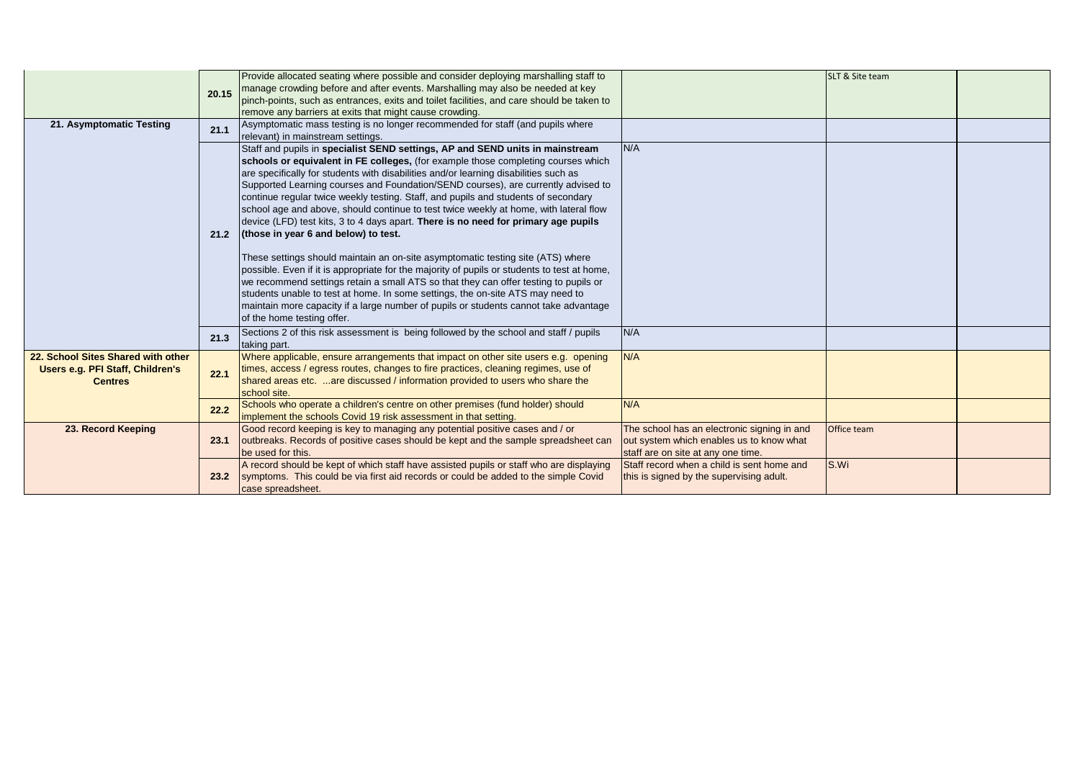|                                    |       | Provide allocated seating where possible and consider deploying marshalling staff to        |                                             | SLT & Site team    |  |
|------------------------------------|-------|---------------------------------------------------------------------------------------------|---------------------------------------------|--------------------|--|
|                                    | 20.15 | manage crowding before and after events. Marshalling may also be needed at key              |                                             |                    |  |
|                                    |       | pinch-points, such as entrances, exits and toilet facilities, and care should be taken to   |                                             |                    |  |
|                                    |       | remove any barriers at exits that might cause crowding.                                     |                                             |                    |  |
| 21. Asymptomatic Testing           | 21.1  | Asymptomatic mass testing is no longer recommended for staff (and pupils where              |                                             |                    |  |
|                                    |       | relevant) in mainstream settings.                                                           |                                             |                    |  |
|                                    |       | Staff and pupils in specialist SEND settings, AP and SEND units in mainstream               | N/A                                         |                    |  |
|                                    |       | schools or equivalent in FE colleges, (for example those completing courses which           |                                             |                    |  |
|                                    |       | are specifically for students with disabilities and/or learning disabilities such as        |                                             |                    |  |
|                                    |       | Supported Learning courses and Foundation/SEND courses), are currently advised to           |                                             |                    |  |
|                                    |       | continue regular twice weekly testing. Staff, and pupils and students of secondary          |                                             |                    |  |
|                                    |       | school age and above, should continue to test twice weekly at home, with lateral flow       |                                             |                    |  |
|                                    |       | device (LFD) test kits, 3 to 4 days apart. There is no need for primary age pupils          |                                             |                    |  |
|                                    | 21.2  | (those in year 6 and below) to test.                                                        |                                             |                    |  |
|                                    |       |                                                                                             |                                             |                    |  |
|                                    |       | These settings should maintain an on-site asymptomatic testing site (ATS) where             |                                             |                    |  |
|                                    |       | possible. Even if it is appropriate for the majority of pupils or students to test at home, |                                             |                    |  |
|                                    |       | we recommend settings retain a small ATS so that they can offer testing to pupils or        |                                             |                    |  |
|                                    |       | students unable to test at home. In some settings, the on-site ATS may need to              |                                             |                    |  |
|                                    |       | maintain more capacity if a large number of pupils or students cannot take advantage        |                                             |                    |  |
|                                    |       | of the home testing offer.                                                                  |                                             |                    |  |
|                                    | 21.3  | Sections 2 of this risk assessment is being followed by the school and staff / pupils       | N/A                                         |                    |  |
|                                    |       | taking part.                                                                                |                                             |                    |  |
| 22. School Sites Shared with other |       | Where applicable, ensure arrangements that impact on other site users e.g. opening          | N/A                                         |                    |  |
| Users e.g. PFI Staff, Children's   | 22.1  | times, access / egress routes, changes to fire practices, cleaning regimes, use of          |                                             |                    |  |
| <b>Centres</b>                     |       | shared areas etc. are discussed / information provided to users who share the               |                                             |                    |  |
|                                    |       | school site.                                                                                |                                             |                    |  |
|                                    | 22.2  | Schools who operate a children's centre on other premises (fund holder) should              | N/A                                         |                    |  |
|                                    |       | implement the schools Covid 19 risk assessment in that setting.                             |                                             |                    |  |
| 23. Record Keeping                 |       | Good record keeping is key to managing any potential positive cases and / or                | The school has an electronic signing in and | <b>Office team</b> |  |
|                                    | 23.1  | outbreaks. Records of positive cases should be kept and the sample spreadsheet can          | out system which enables us to know what    |                    |  |
|                                    |       | be used for this.                                                                           | staff are on site at any one time.          |                    |  |
|                                    |       | A record should be kept of which staff have assisted pupils or staff who are displaying     | Staff record when a child is sent home and  | S.Wi               |  |
|                                    | 23.2  | symptoms. This could be via first aid records or could be added to the simple Covid         | this is signed by the supervising adult.    |                    |  |
|                                    |       | case spreadsheet.                                                                           |                                             |                    |  |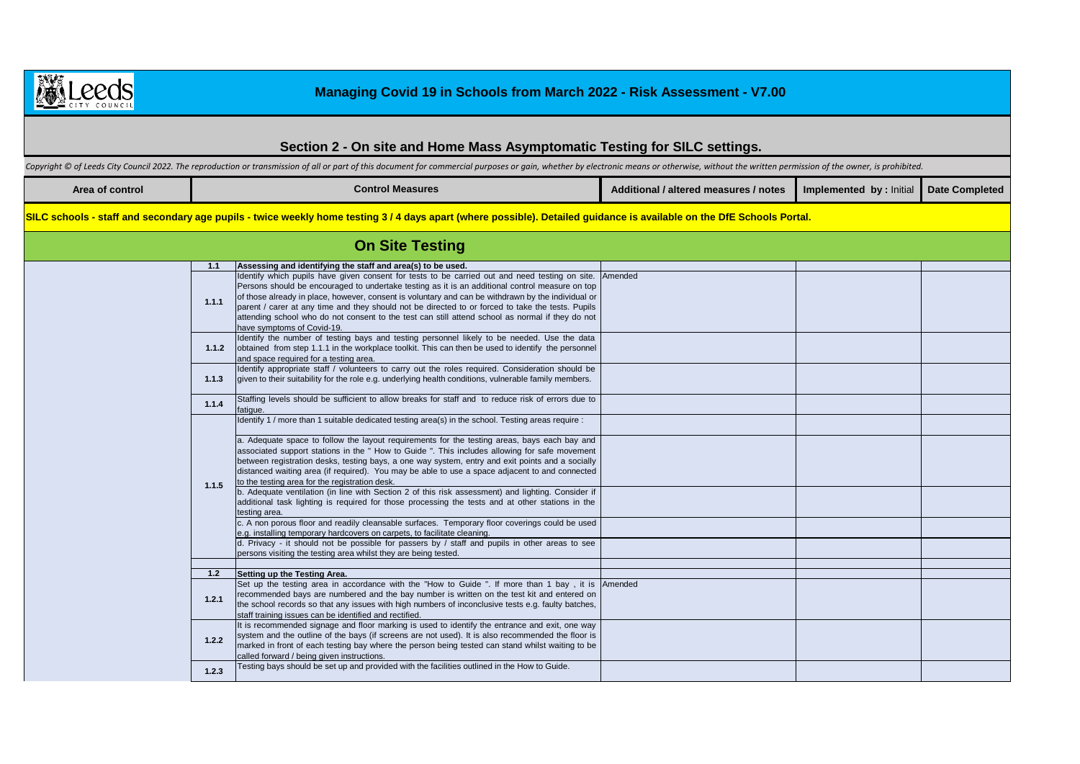

## **Section 2 - On site and Home Mass Asymptomatic Testing for SILC settings.**

Copyright © of Leeds City Council 2022. The reproduction or transmission of all or part of this document for commercial purposes or gain, whether by electronic means or otherwise, without the written permission of the owne

| Area of control | Control Measures | <b>Additional / altered measures / notes</b> | Implemented by : Initial Date Completed |  |
|-----------------|------------------|----------------------------------------------|-----------------------------------------|--|
|                 |                  |                                              |                                         |  |

SILC schools - staff and secondary age pupils - twice weekly home testing 3/4 days apart (where possible). Detailed guidance is available on the DfE Schools Portal.

|       | <b>On Site Testing</b>                                                                                                                                                                                                                                                                                                                                                                                                                                                                                                                                 |  |  |
|-------|--------------------------------------------------------------------------------------------------------------------------------------------------------------------------------------------------------------------------------------------------------------------------------------------------------------------------------------------------------------------------------------------------------------------------------------------------------------------------------------------------------------------------------------------------------|--|--|
| 1.1   | Assessing and identifying the staff and area(s) to be used.                                                                                                                                                                                                                                                                                                                                                                                                                                                                                            |  |  |
| 1.1.1 | Identify which pupils have given consent for tests to be carried out and need testing on site. Amended<br>Persons should be encouraged to undertake testing as it is an additional control measure on top<br>of those already in place, however, consent is voluntary and can be withdrawn by the individual or<br>parent / carer at any time and they should not be directed to or forced to take the tests. Pupils<br>attending school who do not consent to the test can still attend school as normal if they do not<br>have symptoms of Covid-19. |  |  |
| 1.1.2 | Identify the number of testing bays and testing personnel likely to be needed. Use the data<br>obtained from step 1.1.1 in the workplace toolkit. This can then be used to identify the personnel<br>and space required for a testing area.                                                                                                                                                                                                                                                                                                            |  |  |
| 1.1.3 | Identify appropriate staff / volunteers to carry out the roles required. Consideration should be<br>given to their suitability for the role e.g. underlying health conditions, vulnerable family members.                                                                                                                                                                                                                                                                                                                                              |  |  |
| 1.1.4 | Staffing levels should be sufficient to allow breaks for staff and to reduce risk of errors due to<br>fatigue.                                                                                                                                                                                                                                                                                                                                                                                                                                         |  |  |
|       | Identify 1 / more than 1 suitable dedicated testing area(s) in the school. Testing areas require :                                                                                                                                                                                                                                                                                                                                                                                                                                                     |  |  |
| 1.1.5 | a. Adequate space to follow the layout requirements for the testing areas, bays each bay and<br>associated support stations in the " How to Guide ". This includes allowing for safe movement<br>between registration desks, testing bays, a one way system, entry and exit points and a socially<br>distanced waiting area (if required). You may be able to use a space adjacent to and connected<br>to the testing area for the registration desk.                                                                                                  |  |  |
|       | b. Adequate ventilation (in line with Section 2 of this risk assessment) and lighting. Consider if<br>additional task lighting is required for those processing the tests and at other stations in the<br>testing area.                                                                                                                                                                                                                                                                                                                                |  |  |
|       | c. A non porous floor and readily cleansable surfaces. Temporary floor coverings could be used<br>e.g. installing temporary hardcovers on carpets, to facilitate cleaning.                                                                                                                                                                                                                                                                                                                                                                             |  |  |
|       | d. Privacy - it should not be possible for passers by / staff and pupils in other areas to see<br>persons visiting the testing area whilst they are being tested.                                                                                                                                                                                                                                                                                                                                                                                      |  |  |
|       |                                                                                                                                                                                                                                                                                                                                                                                                                                                                                                                                                        |  |  |
| 1.2   | Setting up the Testing Area.                                                                                                                                                                                                                                                                                                                                                                                                                                                                                                                           |  |  |
| 1.2.1 | Set up the testing area in accordance with the "How to Guide ". If more than 1 bay, it is Amended<br>recommended bays are numbered and the bay number is written on the test kit and entered on<br>the school records so that any issues with high numbers of inconclusive tests e.g. faulty batches,<br>staff training issues can be identified and rectified.                                                                                                                                                                                        |  |  |
| 1.2.2 | It is recommended signage and floor marking is used to identify the entrance and exit, one way<br>system and the outline of the bays (if screens are not used). It is also recommended the floor is<br>marked in front of each testing bay where the person being tested can stand whilst waiting to be<br>called forward / being given instructions.                                                                                                                                                                                                  |  |  |
| 1.2.3 | Testing bays should be set up and provided with the facilities outlined in the How to Guide.                                                                                                                                                                                                                                                                                                                                                                                                                                                           |  |  |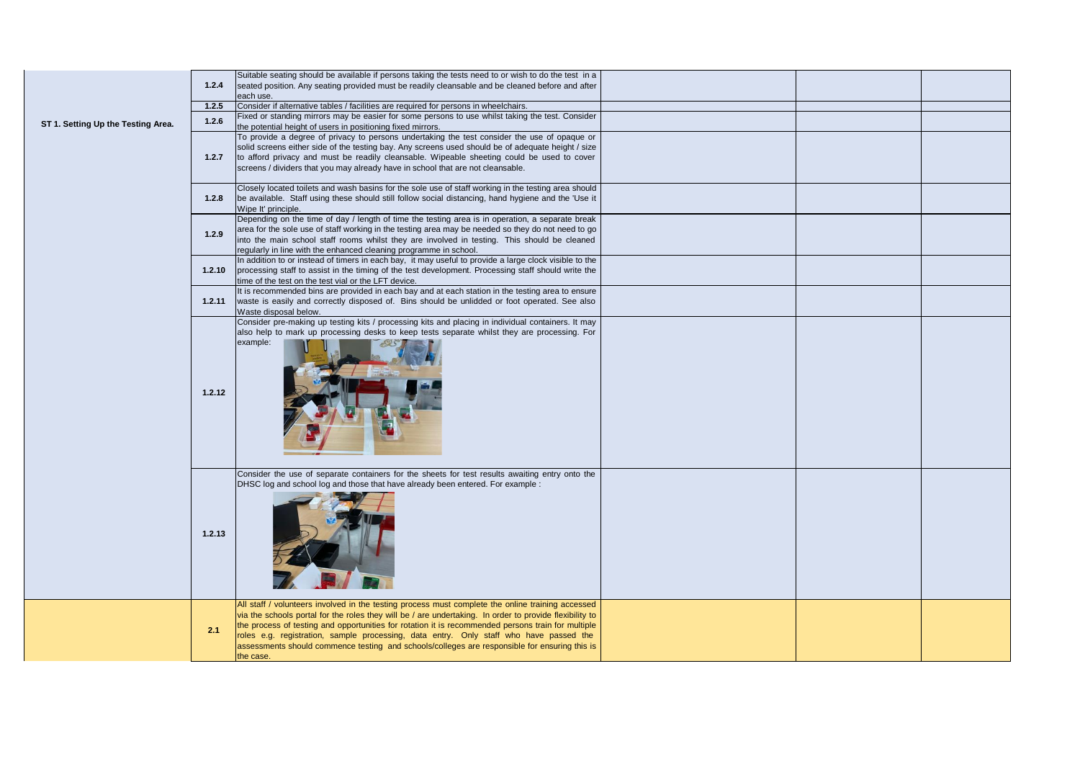|                                    | 1.2.4  | Suitable seating should be available if persons taking the tests need to or wish to do the test in a<br>seated position. Any seating provided must be readily cleansable and be cleaned before and after<br>each use.                                                                                                                                                                                                                                                                                                      |  |  |
|------------------------------------|--------|----------------------------------------------------------------------------------------------------------------------------------------------------------------------------------------------------------------------------------------------------------------------------------------------------------------------------------------------------------------------------------------------------------------------------------------------------------------------------------------------------------------------------|--|--|
|                                    | 1.2.5  | Consider if alternative tables / facilities are required for persons in wheelchairs.                                                                                                                                                                                                                                                                                                                                                                                                                                       |  |  |
| ST 1. Setting Up the Testing Area. | 1.2.6  | Fixed or standing mirrors may be easier for some persons to use whilst taking the test. Consider<br>the potential height of users in positioning fixed mirrors.                                                                                                                                                                                                                                                                                                                                                            |  |  |
|                                    | 1.2.7  | To provide a degree of privacy to persons undertaking the test consider the use of opaque or<br>solid screens either side of the testing bay. Any screens used should be of adequate height / size<br>to afford privacy and must be readily cleansable. Wipeable sheeting could be used to cover<br>screens / dividers that you may already have in school that are not cleansable.                                                                                                                                        |  |  |
|                                    | 1.2.8  | Closely located toilets and wash basins for the sole use of staff working in the testing area should<br>be available. Staff using these should still follow social distancing, hand hygiene and the 'Use it<br>Wipe It' principle.                                                                                                                                                                                                                                                                                         |  |  |
|                                    | 1.2.9  | Depending on the time of day / length of time the testing area is in operation, a separate break<br>area for the sole use of staff working in the testing area may be needed so they do not need to go<br>into the main school staff rooms whilst they are involved in testing. This should be cleaned<br>regularly in line with the enhanced cleaning programme in school.                                                                                                                                                |  |  |
|                                    | 1.2.10 | In addition to or instead of timers in each bay, it may useful to provide a large clock visible to the<br>processing staff to assist in the timing of the test development. Processing staff should write the<br>time of the test on the test vial or the LFT device.                                                                                                                                                                                                                                                      |  |  |
|                                    | 1.2.11 | It is recommended bins are provided in each bay and at each station in the testing area to ensure<br>waste is easily and correctly disposed of. Bins should be unlidded or foot operated. See also<br>Waste disposal below.                                                                                                                                                                                                                                                                                                |  |  |
|                                    | 1.2.12 | Consider pre-making up testing kits / processing kits and placing in individual containers. It may<br>also help to mark up processing desks to keep tests separate whilst they are processing. For<br>example:                                                                                                                                                                                                                                                                                                             |  |  |
|                                    | 1.2.13 | Consider the use of separate containers for the sheets for test results awaiting entry onto the<br>DHSC log and school log and those that have already been entered. For example :                                                                                                                                                                                                                                                                                                                                         |  |  |
|                                    | 2.1    | All staff / volunteers involved in the testing process must complete the online training accessed<br>via the schools portal for the roles they will be / are undertaking. In order to provide flexibility to<br>the process of testing and opportunities for rotation it is recommended persons train for multiple<br>roles e.g. registration, sample processing, data entry. Only staff who have passed the<br>assessments should commence testing and schools/colleges are responsible for ensuring this is<br>the case. |  |  |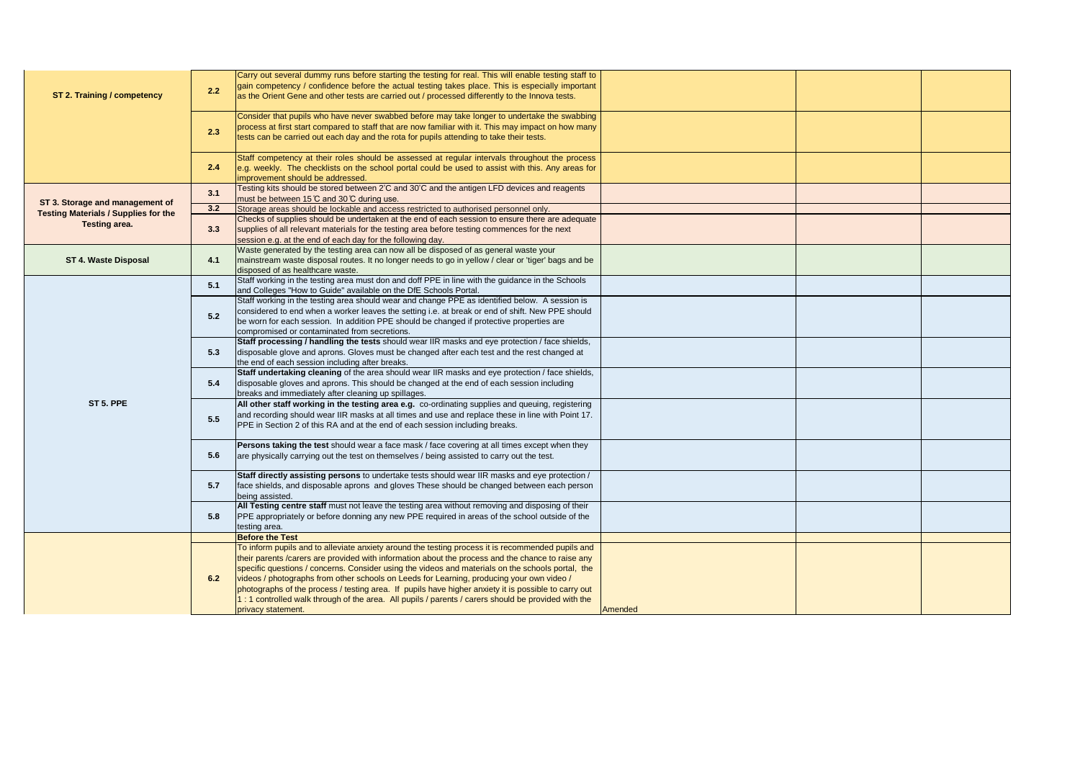|                                             |     | Carry out several dummy runs before starting the testing for real. This will enable testing staff to |         |  |
|---------------------------------------------|-----|------------------------------------------------------------------------------------------------------|---------|--|
|                                             |     | gain competency / confidence before the actual testing takes place. This is especially important     |         |  |
| ST 2. Training / competency                 | 2.2 | as the Orient Gene and other tests are carried out / processed differently to the Innova tests.      |         |  |
|                                             |     |                                                                                                      |         |  |
|                                             |     | Consider that pupils who have never swabbed before may take longer to undertake the swabbing         |         |  |
|                                             |     | process at first start compared to staff that are now familiar with it. This may impact on how many  |         |  |
|                                             | 2.3 | tests can be carried out each day and the rota for pupils attending to take their tests.             |         |  |
|                                             |     |                                                                                                      |         |  |
|                                             |     | Staff competency at their roles should be assessed at regular intervals throughout the process       |         |  |
|                                             | 2.4 | e.g. weekly. The checklists on the school portal could be used to assist with this. Any areas for    |         |  |
|                                             |     | improvement should be addressed.                                                                     |         |  |
|                                             |     | Testing kits should be stored between 2'C and 30'C and the antigen LFD devices and reagents          |         |  |
|                                             | 3.1 | must be between 15 C and 30 C during use.                                                            |         |  |
| ST 3. Storage and management of             | 3.2 | Storage areas should be lockable and access restricted to authorised personnel only.                 |         |  |
| <b>Testing Materials / Supplies for the</b> |     | Checks of supplies should be undertaken at the end of each session to ensure there are adequate      |         |  |
| Testing area.                               | 3.3 | supplies of all relevant materials for the testing area before testing commences for the next        |         |  |
|                                             |     | session e.g. at the end of each day for the following day.                                           |         |  |
|                                             |     | Waste generated by the testing area can now all be disposed of as general waste your                 |         |  |
| ST 4. Waste Disposal                        | 4.1 | mainstream waste disposal routes. It no longer needs to go in yellow / clear or 'tiger' bags and be  |         |  |
|                                             |     | disposed of as healthcare waste.                                                                     |         |  |
|                                             |     | Staff working in the testing area must don and doff PPE in line with the guidance in the Schools     |         |  |
|                                             | 5.1 | and Colleges "How to Guide" available on the DfE Schools Portal.                                     |         |  |
|                                             |     | Staff working in the testing area should wear and change PPE as identified below. A session is       |         |  |
|                                             | 5.2 | considered to end when a worker leaves the setting i.e. at break or end of shift. New PPE should     |         |  |
|                                             |     | be worn for each session. In addition PPE should be changed if protective properties are             |         |  |
|                                             |     | compromised or contaminated from secretions.                                                         |         |  |
|                                             |     | Staff processing / handling the tests should wear IIR masks and eye protection / face shields,       |         |  |
|                                             | 5.3 | disposable glove and aprons. Gloves must be changed after each test and the rest changed at          |         |  |
|                                             |     | the end of each session including after breaks.                                                      |         |  |
|                                             | 5.4 | Staff undertaking cleaning of the area should wear IIR masks and eye protection / face shields,      |         |  |
|                                             |     | disposable gloves and aprons. This should be changed at the end of each session including            |         |  |
|                                             |     | breaks and immediately after cleaning up spillages.                                                  |         |  |
| ST 5. PPE                                   |     | All other staff working in the testing area e.g. co-ordinating supplies and queuing, registering     |         |  |
|                                             |     | and recording should wear IIR masks at all times and use and replace these in line with Point 17.    |         |  |
|                                             | 5.5 | PPE in Section 2 of this RA and at the end of each session including breaks.                         |         |  |
|                                             |     |                                                                                                      |         |  |
|                                             |     | Persons taking the test should wear a face mask / face covering at all times except when they        |         |  |
|                                             | 5.6 | are physically carrying out the test on themselves / being assisted to carry out the test.           |         |  |
|                                             |     |                                                                                                      |         |  |
|                                             |     | Staff directly assisting persons to undertake tests should wear IIR masks and eye protection /       |         |  |
|                                             | 5.7 | face shields, and disposable aprons and gloves These should be changed between each person           |         |  |
|                                             |     | being assisted.                                                                                      |         |  |
|                                             |     | All Testing centre staff must not leave the testing area without removing and disposing of their     |         |  |
|                                             | 5.8 | PPE appropriately or before donning any new PPE required in areas of the school outside of the       |         |  |
|                                             |     | testing area.                                                                                        |         |  |
|                                             |     | <b>Before the Test</b>                                                                               |         |  |
|                                             |     | To inform pupils and to alleviate anxiety around the testing process it is recommended pupils and    |         |  |
|                                             |     | their parents /carers are provided with information about the process and the chance to raise any    |         |  |
|                                             |     | specific questions / concerns. Consider using the videos and materials on the schools portal, the    |         |  |
|                                             | 6.2 | videos / photographs from other schools on Leeds for Learning, producing your own video /            |         |  |
|                                             |     | photographs of the process / testing area. If pupils have higher anxiety it is possible to carry out |         |  |
|                                             |     | 1: 1 controlled walk through of the area. All pupils / parents / carers should be provided with the  |         |  |
|                                             |     | privacy statement.                                                                                   | Amended |  |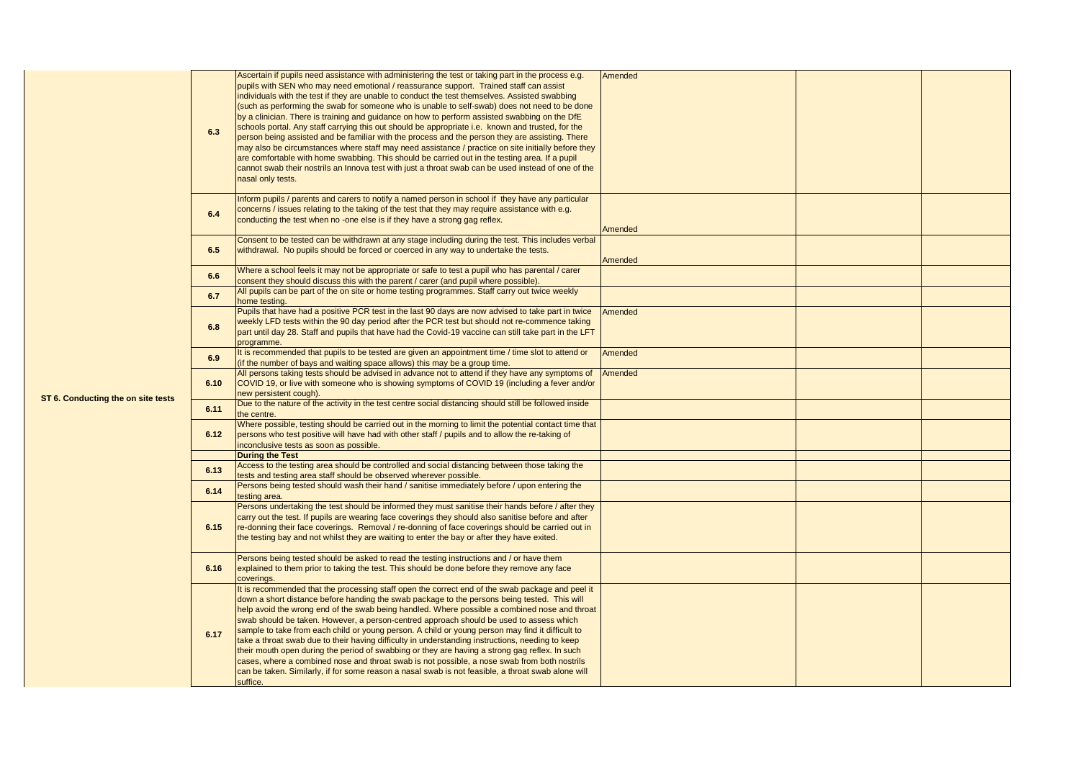|                                    | 6.3  | Ascertain if pupils need assistance with administering the test or taking part in the process e.g.<br>pupils with SEN who may need emotional / reassurance support. Trained staff can assist<br>individuals with the test if they are unable to conduct the test themselves. Assisted swabbing<br>(such as performing the swab for someone who is unable to self-swab) does not need to be done<br>by a clinician. There is training and quidance on how to perform assisted swabbing on the DfE<br>schools portal. Any staff carrying this out should be appropriate i.e. known and trusted, for the<br>person being assisted and be familiar with the process and the person they are assisting. There<br>may also be circumstances where staff may need assistance / practice on site initially before they<br>are comfortable with home swabbing. This should be carried out in the testing area. If a pupil<br>cannot swab their nostrils an Innova test with just a throat swab can be used instead of one of the<br>nasal only tests. | Amended |  |
|------------------------------------|------|----------------------------------------------------------------------------------------------------------------------------------------------------------------------------------------------------------------------------------------------------------------------------------------------------------------------------------------------------------------------------------------------------------------------------------------------------------------------------------------------------------------------------------------------------------------------------------------------------------------------------------------------------------------------------------------------------------------------------------------------------------------------------------------------------------------------------------------------------------------------------------------------------------------------------------------------------------------------------------------------------------------------------------------------|---------|--|
|                                    | 6.4  | Inform pupils / parents and carers to notify a named person in school if they have any particular<br>concerns / issues relating to the taking of the test that they may require assistance with e.g.<br>conducting the test when no -one else is if they have a strong gag reflex.                                                                                                                                                                                                                                                                                                                                                                                                                                                                                                                                                                                                                                                                                                                                                           | Amended |  |
|                                    | 6.5  | Consent to be tested can be withdrawn at any stage including during the test. This includes verbal<br>withdrawal. No pupils should be forced or coerced in any way to undertake the tests.                                                                                                                                                                                                                                                                                                                                                                                                                                                                                                                                                                                                                                                                                                                                                                                                                                                   | Amended |  |
|                                    | 6.6  | Where a school feels it may not be appropriate or safe to test a pupil who has parental / carer<br>consent they should discuss this with the parent / carer (and pupil where possible).                                                                                                                                                                                                                                                                                                                                                                                                                                                                                                                                                                                                                                                                                                                                                                                                                                                      |         |  |
|                                    | 6.7  | All pupils can be part of the on site or home testing programmes. Staff carry out twice weekly                                                                                                                                                                                                                                                                                                                                                                                                                                                                                                                                                                                                                                                                                                                                                                                                                                                                                                                                               |         |  |
|                                    | 6.8  | home testing.<br>Pupils that have had a positive PCR test in the last 90 days are now advised to take part in twice<br>weekly LFD tests within the 90 day period after the PCR test but should not re-commence taking<br>part until day 28. Staff and pupils that have had the Covid-19 vaccine can still take part in the LFT<br>programme.                                                                                                                                                                                                                                                                                                                                                                                                                                                                                                                                                                                                                                                                                                 | Amended |  |
|                                    | 6.9  | It is recommended that pupils to be tested are given an appointment time / time slot to attend or<br>(if the number of bays and waiting space allows) this may be a group time.                                                                                                                                                                                                                                                                                                                                                                                                                                                                                                                                                                                                                                                                                                                                                                                                                                                              | Amended |  |
|                                    | 6.10 | All persons taking tests should be advised in advance not to attend if they have any symptoms of<br>COVID 19, or live with someone who is showing symptoms of COVID 19 (including a fever and/or<br>new persistent cough).                                                                                                                                                                                                                                                                                                                                                                                                                                                                                                                                                                                                                                                                                                                                                                                                                   | Amended |  |
| ST 6. Conducting the on site tests | 6.11 | Due to the nature of the activity in the test centre social distancing should still be followed inside<br>the centre.                                                                                                                                                                                                                                                                                                                                                                                                                                                                                                                                                                                                                                                                                                                                                                                                                                                                                                                        |         |  |
|                                    | 6.12 | Where possible, testing should be carried out in the morning to limit the potential contact time that<br>persons who test positive will have had with other staff / pupils and to allow the re-taking of<br>inconclusive tests as soon as possible.                                                                                                                                                                                                                                                                                                                                                                                                                                                                                                                                                                                                                                                                                                                                                                                          |         |  |
|                                    |      | <b>During the Test</b><br>Access to the testing area should be controlled and social distancing between those taking the                                                                                                                                                                                                                                                                                                                                                                                                                                                                                                                                                                                                                                                                                                                                                                                                                                                                                                                     |         |  |
|                                    | 6.13 | tests and testing area staff should be observed wherever possible.                                                                                                                                                                                                                                                                                                                                                                                                                                                                                                                                                                                                                                                                                                                                                                                                                                                                                                                                                                           |         |  |
|                                    | 6.14 | Persons being tested should wash their hand / sanitise immediately before / upon entering the<br>testing area.                                                                                                                                                                                                                                                                                                                                                                                                                                                                                                                                                                                                                                                                                                                                                                                                                                                                                                                               |         |  |
|                                    | 6.15 | Persons undertaking the test should be informed they must sanitise their hands before / after they<br>carry out the test. If pupils are wearing face coverings they should also sanitise before and after<br>re-donning their face coverings. Removal / re-donning of face coverings should be carried out in<br>the testing bay and not whilst they are waiting to enter the bay or after they have exited.                                                                                                                                                                                                                                                                                                                                                                                                                                                                                                                                                                                                                                 |         |  |
|                                    | 6.16 | Persons being tested should be asked to read the testing instructions and / or have them<br>explained to them prior to taking the test. This should be done before they remove any face<br>coverings.                                                                                                                                                                                                                                                                                                                                                                                                                                                                                                                                                                                                                                                                                                                                                                                                                                        |         |  |
|                                    | 6.17 | It is recommended that the processing staff open the correct end of the swab package and peel it<br>down a short distance before handing the swab package to the persons being tested. This will<br>help avoid the wrong end of the swab being handled. Where possible a combined nose and throat<br>swab should be taken. However, a person-centred approach should be used to assess which<br>sample to take from each child or young person. A child or young person may find it difficult to<br>take a throat swab due to their having difficulty in understanding instructions, needing to keep<br>their mouth open during the period of swabbing or they are having a strong gag reflex. In such<br>cases, where a combined nose and throat swab is not possible, a nose swab from both nostrils<br>can be taken. Similarly, if for some reason a nasal swab is not feasible, a throat swab alone will<br>suffice.                                                                                                                     |         |  |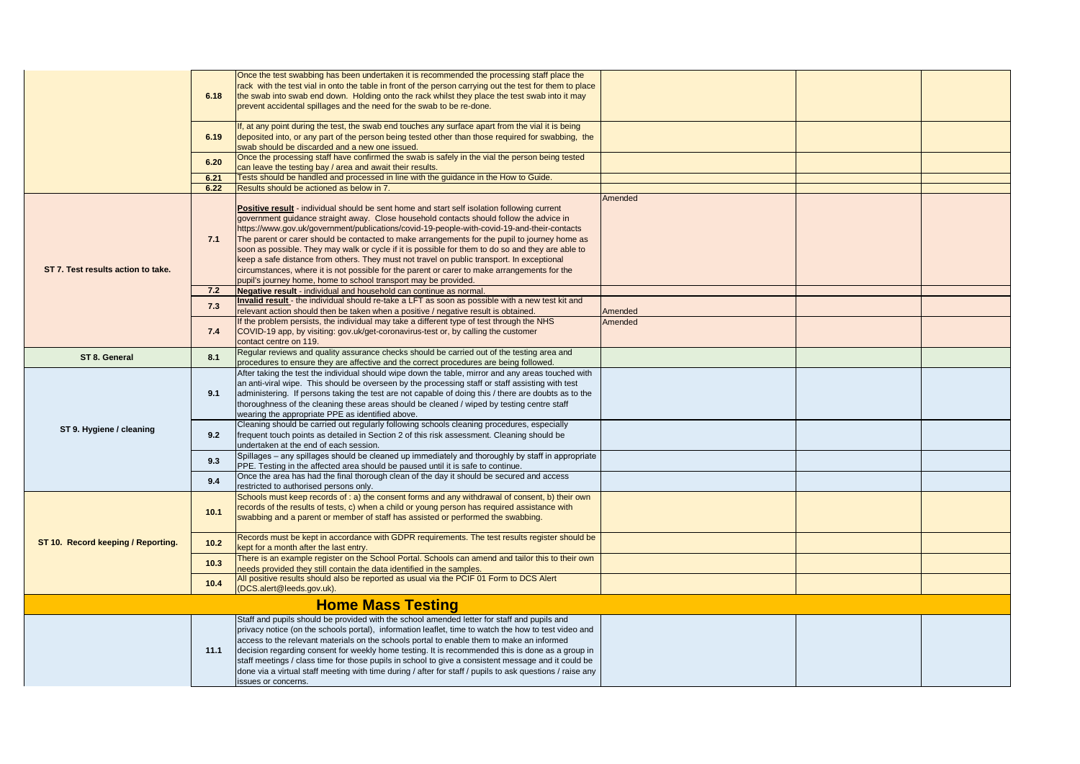|                                    | 6.18 | Once the test swabbing has been undertaken it is recommended the processing staff place the<br>rack with the test vial in onto the table in front of the person carrying out the test for them to place<br>the swab into swab end down. Holding onto the rack whilst they place the test swab into it may<br>prevent accidental spillages and the need for the swab to be re-done.                                                                                                                                                                                                                                                                                                                                                                                  |         |  |  |
|------------------------------------|------|---------------------------------------------------------------------------------------------------------------------------------------------------------------------------------------------------------------------------------------------------------------------------------------------------------------------------------------------------------------------------------------------------------------------------------------------------------------------------------------------------------------------------------------------------------------------------------------------------------------------------------------------------------------------------------------------------------------------------------------------------------------------|---------|--|--|
|                                    | 6.19 | If, at any point during the test, the swab end touches any surface apart from the vial it is being<br>deposited into, or any part of the person being tested other than those required for swabbing, the<br>swab should be discarded and a new one issued.                                                                                                                                                                                                                                                                                                                                                                                                                                                                                                          |         |  |  |
|                                    | 6.20 | Once the processing staff have confirmed the swab is safely in the vial the person being tested<br>can leave the testing bay / area and await their results.                                                                                                                                                                                                                                                                                                                                                                                                                                                                                                                                                                                                        |         |  |  |
|                                    | 6.21 | Tests should be handled and processed in line with the guidance in the How to Guide.                                                                                                                                                                                                                                                                                                                                                                                                                                                                                                                                                                                                                                                                                |         |  |  |
|                                    | 6.22 | Results should be actioned as below in 7.                                                                                                                                                                                                                                                                                                                                                                                                                                                                                                                                                                                                                                                                                                                           |         |  |  |
| ST 7. Test results action to take. | 7.1  | <b>Positive result</b> - individual should be sent home and start self isolation following current<br>government guidance straight away. Close household contacts should follow the advice in<br>https://www.gov.uk/government/publications/covid-19-people-with-covid-19-and-their-contacts<br>The parent or carer should be contacted to make arrangements for the pupil to journey home as<br>soon as possible. They may walk or cycle if it is possible for them to do so and they are able to<br>keep a safe distance from others. They must not travel on public transport. In exceptional<br>circumstances, where it is not possible for the parent or carer to make arrangements for the<br>pupil's journey home, home to school transport may be provided. | Amended |  |  |
|                                    | 7.2  | Negative result - individual and household can continue as normal.                                                                                                                                                                                                                                                                                                                                                                                                                                                                                                                                                                                                                                                                                                  |         |  |  |
|                                    | 7.3  | Invalid result - the individual should re-take a LFT as soon as possible with a new test kit and<br>relevant action should then be taken when a positive / negative result is obtained.                                                                                                                                                                                                                                                                                                                                                                                                                                                                                                                                                                             | Amended |  |  |
|                                    | 7.4  | If the problem persists, the individual may take a different type of test through the NHS<br>COVID-19 app, by visiting: gov.uk/get-coronavirus-test or, by calling the customer<br>contact centre on 119.                                                                                                                                                                                                                                                                                                                                                                                                                                                                                                                                                           | Amended |  |  |
| ST 8. General                      | 8.1  | Regular reviews and quality assurance checks should be carried out of the testing area and<br>procedures to ensure they are affective and the correct procedures are being followed.                                                                                                                                                                                                                                                                                                                                                                                                                                                                                                                                                                                |         |  |  |
| ST 9. Hygiene / cleaning           | 9.1  | After taking the test the individual should wipe down the table, mirror and any areas touched with<br>an anti-viral wipe. This should be overseen by the processing staff or staff assisting with test<br>administering. If persons taking the test are not capable of doing this / there are doubts as to the<br>thoroughness of the cleaning these areas should be cleaned / wiped by testing centre staff<br>wearing the appropriate PPE as identified above.                                                                                                                                                                                                                                                                                                    |         |  |  |
|                                    | 9.2  | Cleaning should be carried out regularly following schools cleaning procedures, especially<br>frequent touch points as detailed in Section 2 of this risk assessment. Cleaning should be<br>undertaken at the end of each session.                                                                                                                                                                                                                                                                                                                                                                                                                                                                                                                                  |         |  |  |
|                                    | 9.3  | Spillages - any spillages should be cleaned up immediately and thoroughly by staff in appropriate<br>PPE. Testing in the affected area should be paused until it is safe to continue.                                                                                                                                                                                                                                                                                                                                                                                                                                                                                                                                                                               |         |  |  |
|                                    | 9.4  | Once the area has had the final thorough clean of the day it should be secured and access<br>restricted to authorised persons only.                                                                                                                                                                                                                                                                                                                                                                                                                                                                                                                                                                                                                                 |         |  |  |
| ST 10. Record keeping / Reporting. | 10.1 | Schools must keep records of : a) the consent forms and any withdrawal of consent, b) their own<br>records of the results of tests, c) when a child or young person has required assistance with<br>swabbing and a parent or member of staff has assisted or performed the swabbing.                                                                                                                                                                                                                                                                                                                                                                                                                                                                                |         |  |  |
|                                    | 10.2 | Records must be kept in accordance with GDPR requirements. The test results register should be<br>kept for a month after the last entry.                                                                                                                                                                                                                                                                                                                                                                                                                                                                                                                                                                                                                            |         |  |  |
|                                    | 10.3 | There is an example register on the School Portal. Schools can amend and tailor this to their own<br>needs provided they still contain the data identified in the samples.                                                                                                                                                                                                                                                                                                                                                                                                                                                                                                                                                                                          |         |  |  |
|                                    | 10.4 | All positive results should also be reported as usual via the PCIF 01 Form to DCS Alert<br>(DCS.alert@leeds.gov.uk).                                                                                                                                                                                                                                                                                                                                                                                                                                                                                                                                                                                                                                                |         |  |  |
| <b>Home Mass Testing</b>           |      |                                                                                                                                                                                                                                                                                                                                                                                                                                                                                                                                                                                                                                                                                                                                                                     |         |  |  |
|                                    | 11.1 | Staff and pupils should be provided with the school amended letter for staff and pupils and<br>privacy notice (on the schools portal), information leaflet, time to watch the how to test video and<br>access to the relevant materials on the schools portal to enable them to make an informed<br>decision regarding consent for weekly home testing. It is recommended this is done as a group in<br>staff meetings / class time for those pupils in school to give a consistent message and it could be<br>done via a virtual staff meeting with time during / after for staff / pupils to ask questions / raise any<br>issues or concerns.                                                                                                                     |         |  |  |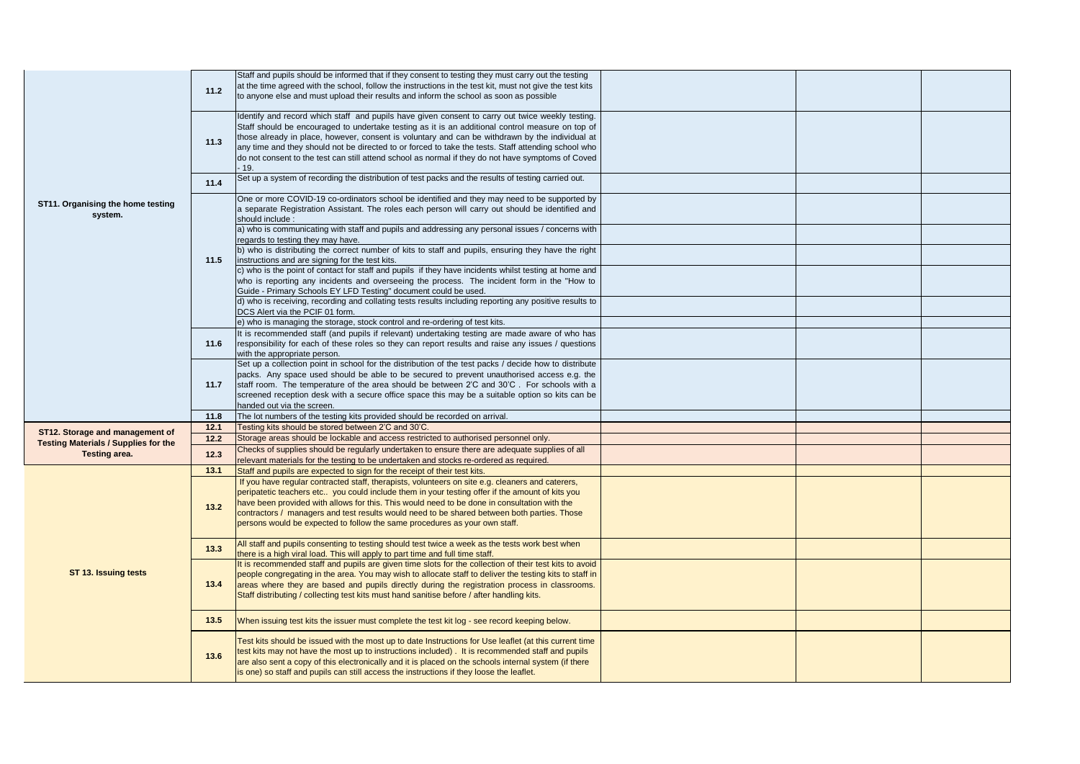| ST11. Organising the home testing<br>system.                 | 11.2         | Staff and pupils should be informed that if they consent to testing they must carry out the testing<br>at the time agreed with the school, follow the instructions in the test kit, must not give the test kits<br>to anyone else and must upload their results and inform the school as soon as possible                                                                                                                                                                                                                   |  |  |
|--------------------------------------------------------------|--------------|-----------------------------------------------------------------------------------------------------------------------------------------------------------------------------------------------------------------------------------------------------------------------------------------------------------------------------------------------------------------------------------------------------------------------------------------------------------------------------------------------------------------------------|--|--|
|                                                              | 11.3         | Identify and record which staff and pupils have given consent to carry out twice weekly testing.<br>Staff should be encouraged to undertake testing as it is an additional control measure on top of<br>those already in place, however, consent is voluntary and can be withdrawn by the individual at<br>any time and they should not be directed to or forced to take the tests. Staff attending school who<br>do not consent to the test can still attend school as normal if they do not have symptoms of Coved<br>19. |  |  |
|                                                              | 11.4         | Set up a system of recording the distribution of test packs and the results of testing carried out.                                                                                                                                                                                                                                                                                                                                                                                                                         |  |  |
|                                                              |              | One or more COVID-19 co-ordinators school be identified and they may need to be supported by<br>a separate Registration Assistant. The roles each person will carry out should be identified and<br>should include:                                                                                                                                                                                                                                                                                                         |  |  |
|                                                              |              | a) who is communicating with staff and pupils and addressing any personal issues / concerns with<br>regards to testing they may have.<br>b) who is distributing the correct number of kits to staff and pupils, ensuring they have the right                                                                                                                                                                                                                                                                                |  |  |
|                                                              | 11.5         | instructions and are signing for the test kits.<br>c) who is the point of contact for staff and pupils if they have incidents whilst testing at home and                                                                                                                                                                                                                                                                                                                                                                    |  |  |
|                                                              |              | who is reporting any incidents and overseeing the process. The incident form in the "How to<br>Guide - Primary Schools EY LFD Testing" document could be used.                                                                                                                                                                                                                                                                                                                                                              |  |  |
|                                                              |              | d) who is receiving, recording and collating tests results including reporting any positive results to<br>DCS Alert via the PCIF 01 form.                                                                                                                                                                                                                                                                                                                                                                                   |  |  |
|                                                              |              | e) who is managing the storage, stock control and re-ordering of test kits.<br>It is recommended staff (and pupils if relevant) undertaking testing are made aware of who has                                                                                                                                                                                                                                                                                                                                               |  |  |
|                                                              | 11.6         | responsibility for each of these roles so they can report results and raise any issues / questions<br>with the appropriate person.                                                                                                                                                                                                                                                                                                                                                                                          |  |  |
|                                                              | 11.7         | Set up a collection point in school for the distribution of the test packs / decide how to distribute<br>packs. Any space used should be able to be secured to prevent unauthorised access e.g. the<br>staff room. The temperature of the area should be between 2'C and 30'C. For schools with a<br>screened reception desk with a secure office space this may be a suitable option so kits can be<br>handed out via the screen.                                                                                          |  |  |
|                                                              | 11.8         | The lot numbers of the testing kits provided should be recorded on arrival.                                                                                                                                                                                                                                                                                                                                                                                                                                                 |  |  |
| ST12. Storage and management of                              | 12.1<br>12.2 | Testing kits should be stored between 2'C and 30'C.<br>Storage areas should be lockable and access restricted to authorised personnel only.                                                                                                                                                                                                                                                                                                                                                                                 |  |  |
| <b>Testing Materials / Supplies for the</b><br>Testing area. | 12.3         | Checks of supplies should be regularly undertaken to ensure there are adequate supplies of all<br>relevant materials for the testing to be undertaken and stocks re-ordered as required.                                                                                                                                                                                                                                                                                                                                    |  |  |
|                                                              | 13.1         | Staff and pupils are expected to sign for the receipt of their test kits.<br>If you have regular contracted staff, therapists, volunteers on site e.g. cleaners and caterers,                                                                                                                                                                                                                                                                                                                                               |  |  |
| ST 13. Issuing tests                                         | 13.2         | peripatetic teachers etc you could include them in your testing offer if the amount of kits you<br>have been provided with allows for this. This would need to be done in consultation with the<br>contractors / managers and test results would need to be shared between both parties. Those<br>persons would be expected to follow the same procedures as your own staff.                                                                                                                                                |  |  |
|                                                              | 13.3         | All staff and pupils consenting to testing should test twice a week as the tests work best when<br>there is a high viral load. This will apply to part time and full time staff.                                                                                                                                                                                                                                                                                                                                            |  |  |
|                                                              | 13.4         | It is recommended staff and pupils are given time slots for the collection of their test kits to avoid<br>people congregating in the area. You may wish to allocate staff to deliver the testing kits to staff in<br>areas where they are based and pupils directly during the registration process in classrooms.<br>Staff distributing / collecting test kits must hand sanitise before / after handling kits.                                                                                                            |  |  |
|                                                              | 13.5         | When issuing test kits the issuer must complete the test kit log - see record keeping below.                                                                                                                                                                                                                                                                                                                                                                                                                                |  |  |
|                                                              | 13.6         | Test kits should be issued with the most up to date Instructions for Use leaflet (at this current time<br>test kits may not have the most up to instructions included). It is recommended staff and pupils<br>are also sent a copy of this electronically and it is placed on the schools internal system (if there<br>is one) so staff and pupils can still access the instructions if they loose the leaflet.                                                                                                             |  |  |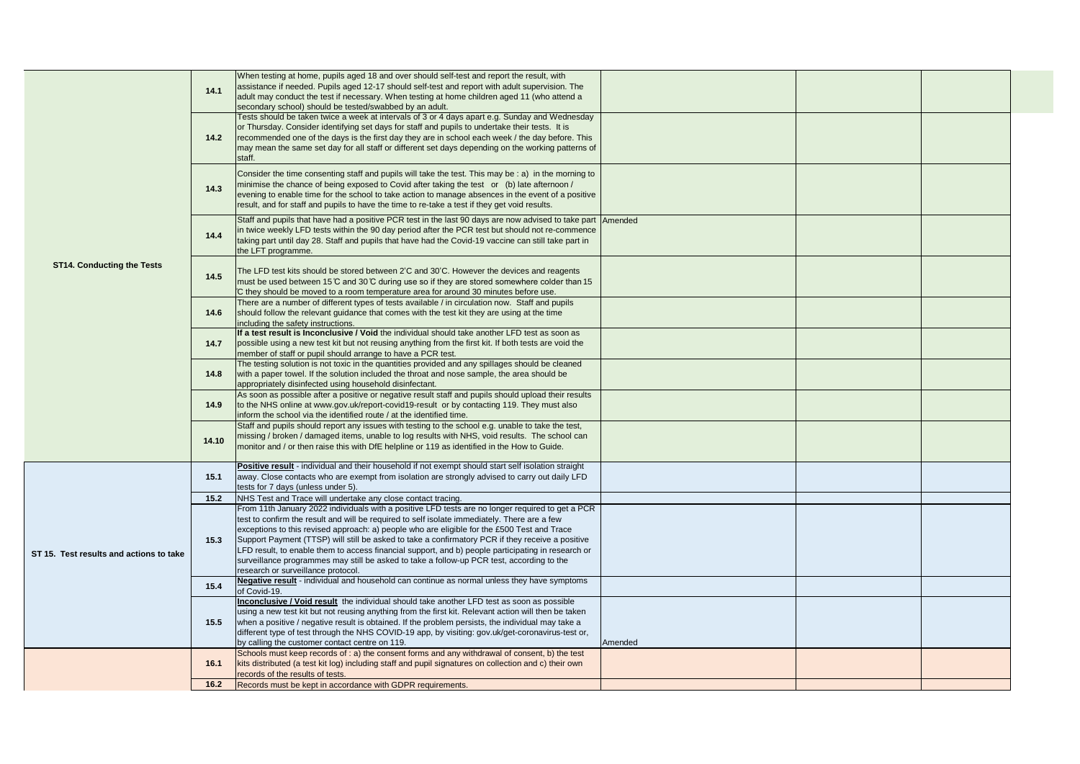|                                         |       | When testing at home, pupils aged 18 and over should self-test and report the result, with                                                                                                              |         |  |
|-----------------------------------------|-------|---------------------------------------------------------------------------------------------------------------------------------------------------------------------------------------------------------|---------|--|
|                                         | 14.1  | assistance if needed. Pupils aged 12-17 should self-test and report with adult supervision. The<br>adult may conduct the test if necessary. When testing at home children aged 11 (who attend a         |         |  |
|                                         |       | secondary school) should be tested/swabbed by an adult.                                                                                                                                                 |         |  |
|                                         |       | Tests should be taken twice a week at intervals of 3 or 4 days apart e.g. Sunday and Wednesday                                                                                                          |         |  |
|                                         |       | or Thursday. Consider identifying set days for staff and pupils to undertake their tests. It is                                                                                                         |         |  |
|                                         | 14.2  | recommended one of the days is the first day they are in school each week / the day before. This                                                                                                        |         |  |
|                                         |       | may mean the same set day for all staff or different set days depending on the working patterns of<br>staff.                                                                                            |         |  |
|                                         |       | Consider the time consenting staff and pupils will take the test. This may be: a) in the morning to                                                                                                     |         |  |
|                                         |       | minimise the chance of being exposed to Covid after taking the test or (b) late afternoon /                                                                                                             |         |  |
|                                         | 14.3  | evening to enable time for the school to take action to manage absences in the event of a positive                                                                                                      |         |  |
|                                         |       | result, and for staff and pupils to have the time to re-take a test if they get void results.                                                                                                           |         |  |
|                                         |       | Staff and pupils that have had a positive PCR test in the last 90 days are now advised to take part Amended                                                                                             |         |  |
|                                         | 14.4  | in twice weekly LFD tests within the 90 day period after the PCR test but should not re-commence                                                                                                        |         |  |
|                                         |       | taking part until day 28. Staff and pupils that have had the Covid-19 vaccine can still take part in<br>the LFT programme.                                                                              |         |  |
|                                         |       |                                                                                                                                                                                                         |         |  |
| <b>ST14. Conducting the Tests</b>       | 14.5  | The LFD test kits should be stored between 2'C and 30'C. However the devices and reagents                                                                                                               |         |  |
|                                         |       | must be used between 15 °C and 30 °C during use so if they are stored somewhere colder than 15                                                                                                          |         |  |
|                                         |       | C they should be moved to a room temperature area for around 30 minutes before use.<br>There are a number of different types of tests available / in circulation now. Staff and pupils                  |         |  |
|                                         | 14.6  | should follow the relevant guidance that comes with the test kit they are using at the time                                                                                                             |         |  |
|                                         |       | including the safety instructions.                                                                                                                                                                      |         |  |
|                                         |       | If a test result is Inconclusive / Void the individual should take another LFD test as soon as<br>possible using a new test kit but not reusing anything from the first kit. If both tests are void the |         |  |
|                                         | 14.7  | member of staff or pupil should arrange to have a PCR test.                                                                                                                                             |         |  |
|                                         |       | The testing solution is not toxic in the quantities provided and any spillages should be cleaned                                                                                                        |         |  |
|                                         | 14.8  | with a paper towel. If the solution included the throat and nose sample, the area should be                                                                                                             |         |  |
|                                         |       | appropriately disinfected using household disinfectant.<br>As soon as possible after a positive or negative result staff and pupils should upload their results                                         |         |  |
|                                         | 14.9  | to the NHS online at www.gov.uk/report-covid19-result or by contacting 119. They must also                                                                                                              |         |  |
|                                         |       | inform the school via the identified route / at the identified time.                                                                                                                                    |         |  |
|                                         | 14.10 | Staff and pupils should report any issues with testing to the school e.g. unable to take the test,                                                                                                      |         |  |
|                                         |       | missing / broken / damaged items, unable to log results with NHS, void results. The school can<br>monitor and / or then raise this with DfE helpline or 119 as identified in the How to Guide.          |         |  |
|                                         |       |                                                                                                                                                                                                         |         |  |
|                                         |       | Positive result - individual and their household if not exempt should start self isolation straight                                                                                                     |         |  |
|                                         | 15.1  | away. Close contacts who are exempt from isolation are strongly advised to carry out daily LFD<br>tests for 7 days (unless under 5).                                                                    |         |  |
|                                         | 15.2  | NHS Test and Trace will undertake any close contact tracing.                                                                                                                                            |         |  |
|                                         |       | From 11th January 2022 individuals with a positive LFD tests are no longer required to get a PCR                                                                                                        |         |  |
|                                         |       | test to confirm the result and will be required to self isolate immediately. There are a few                                                                                                            |         |  |
| ST 15. Test results and actions to take | 15.3  | exceptions to this revised approach: a) people who are eligible for the £500 Test and Trace<br>Support Payment (TTSP) will still be asked to take a confirmatory PCR if they receive a positive         |         |  |
|                                         |       | LFD result, to enable them to access financial support, and b) people participating in research or                                                                                                      |         |  |
|                                         |       | surveillance programmes may still be asked to take a follow-up PCR test, according to the                                                                                                               |         |  |
|                                         |       | research or surveillance protocol.                                                                                                                                                                      |         |  |
|                                         | 15.4  | Negative result - individual and household can continue as normal unless they have symptoms<br>of Covid-19.                                                                                             |         |  |
|                                         |       | Inconclusive / Void result the individual should take another LFD test as soon as possible                                                                                                              |         |  |
|                                         | 15.5  | using a new test kit but not reusing anything from the first kit. Relevant action will then be taken                                                                                                    |         |  |
|                                         |       | when a positive / negative result is obtained. If the problem persists, the individual may take a                                                                                                       |         |  |
|                                         |       | different type of test through the NHS COVID-19 app, by visiting: gov.uk/get-coronavirus-test or,<br>by calling the customer contact centre on 119.                                                     |         |  |
|                                         |       | Schools must keep records of : a) the consent forms and any withdrawal of consent, b) the test                                                                                                          | Amended |  |
|                                         | 16.1  | kits distributed (a test kit log) including staff and pupil signatures on collection and c) their own                                                                                                   |         |  |
|                                         |       | records of the results of tests.                                                                                                                                                                        |         |  |
|                                         | 16.2  | Records must be kept in accordance with GDPR requirements.                                                                                                                                              |         |  |